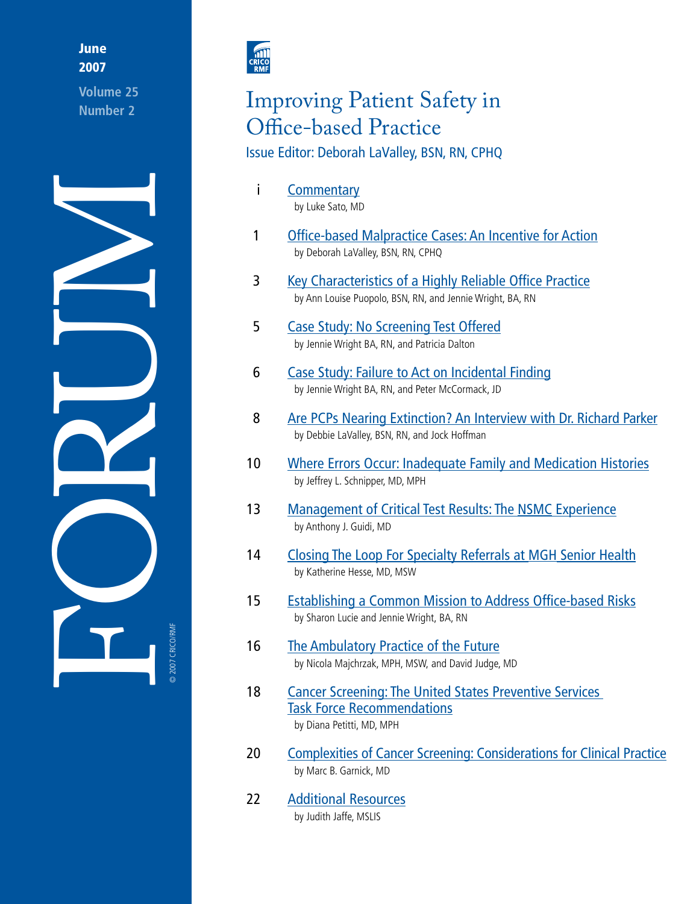# **June** 2007

**Volume 25 Number 2**





# Improving Patient Safety in Office-based Practice

# Issue Editor: Deborah LaValley, BSN, RN, CPHQ

- i [Commentary](#page-1-0) by Luke Sato, MD
- 1 [Office-based Malpractice Cases](#page-2-0): An Incentive for Action by Deborah LaValley, BSN, RN, CPHQ
- 3 [Key Characteristics of a Highly Reliable Office Practice](#page-4-0) by Ann Louise Puopolo, BSN, RN, and Jennie Wright, BA, RN
- 5 [Case Study: No Screening Test Offered](#page-6-0) by Jennie Wright BA, RN, and Patricia Dalton
- 6 [Case Study: Failure to Act on Incidental Finding](#page-7-0) by Jennie Wright BA, RN, and Peter McCormack, JD
- 8 [Are PCPs Nearing Extinction? An Interview with Dr. Richard Parker](#page-9-0) by Debbie LaValley, BSN, RN, and Jock Hoffman
- 10 [Where Errors Occur: Inadequate Family and Medication Histories](#page-11-0) by Jeffrey L. Schnipper, MD, MPH
- 13 [Management of Critical Test Results: The NSMC Experience](#page-14-0) by Anthony J. Guidi, MD
- 14 [Closing The Loop For Specialty Referrals at MGH Senior Health](#page-15-0) by Katherine Hesse, MD, MSW
- 15 [Establishing a Common Mission to Address Office-based Risks](#page-16-0) by Sharon Lucie and Jennie Wright, BA, RN
- 16 [The Ambulatory Practice of the Future](#page-17-0) by Nicola Majchrzak, MPH, MSW, and David Judge, MD
- 18 [Cancer Screening: The United States Preventive Services](#page-19-0)  [Task Force Recommendations](#page-19-0) by Diana Petitti, MD, MPH
- 20 [Complexities of Cancer Screening: Considerations for Clinical Practice](#page-21-0) by Marc B. Garnick, MD
- 22 [Additional Resources](#page-23-0) by Judith Jaffe, MSLIS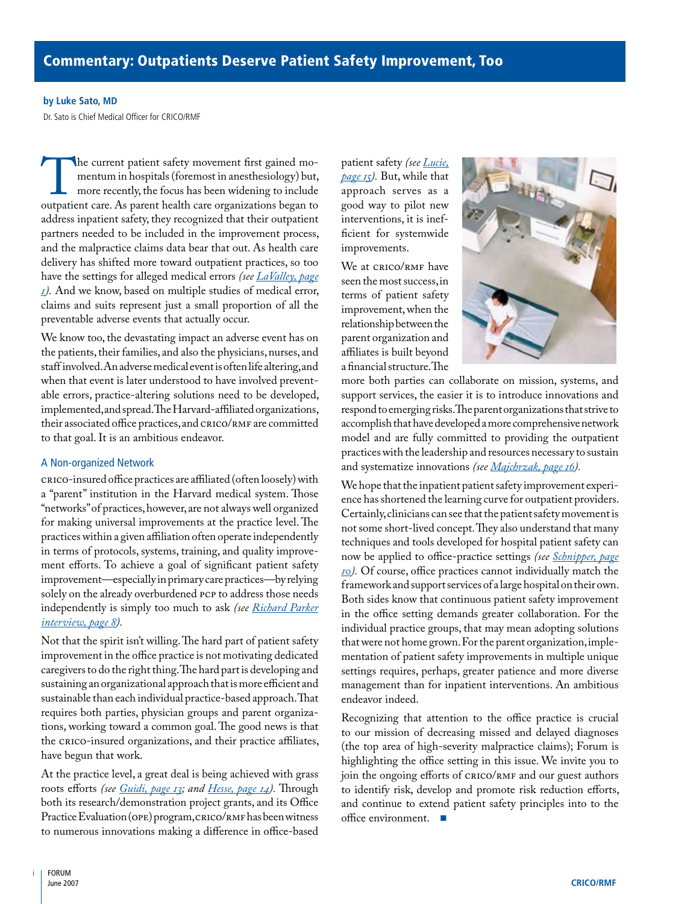#### <span id="page-1-0"></span>**by Luke Sato, MD**

Dr. Sato is Chief Medical Officer for CRICO/RMF

The current patient safety movement first gained momentum in hospitals (foremost in anesthesiology) but, more recently, the focus has been widening to include outpatient care. As parent health care organizations began to mentum in hospitals (foremost in anesthesiology) but, more recently, the focus has been widening to include address inpatient safety, they recognized that their outpatient partners needed to be included in the improvement process, and the malpractice claims data bear that out. As health care delivery has shifted more toward outpatient practices, so too have the settings for alleged medical errors *(see [LaValley, page](#page-2-0)  [1](#page-2-0)).* And we know, based on multiple studies of medical error, claims and suits represent just a small proportion of all the preventable adverse events that actually occur.

We know too, the devastating impact an adverse event has on the patients, their families, and also the physicians, nurses, and staff involved. An adverse medical event is often life altering, and when that event is later understood to have involved preventable errors, practice-altering solutions need to be developed, implemented, and spread. The Harvard-affiliated organizations, their associated office practices, and CRICO/RMF are committed to that goal. It is an ambitious endeavor.

#### A Non-organized Network

CRICO-insured office practices are affiliated (often loosely) with a "parent" institution in the Harvard medical system. Those "networks" of practices, however, are not always well organized for making universal improvements at the practice level. The practices within a given affiliation often operate independently in terms of protocols, systems, training, and quality improvement efforts. To achieve a goal of significant patient safety improvement—especially in primary care practices—by relying solely on the already overburdened PCP to address those needs independently is simply too much to ask *(see [Richard Parker](#page-9-0)  [interview, page 8\)](#page-9-0).* 

Not that the spirit isn't willing. The hard part of patient safety improvement in the office practice is not motivating dedicated caregivers to do the right thing. The hard part is developing and sustaining an organizational approach that is more efficient and sustainable than each individual practice-based approach. That requires both parties, physician groups and parent organizations, working toward a common goal. The good news is that the CRICO-insured organizations, and their practice affiliates, have begun that work.

At the practice level, a great deal is being achieved with grass roots efforts *(see [Guidi, page 13](#page-14-0); and [Hesse, page 14\)](#page-15-0).* Through both its research/demonstration project grants, and its Office Practice Evaluation (OPE) program, CRICO/RMF has been witness to numerous innovations making a difference in office-based

patient safety *(see [Lucie,](#page-16-0) [page 15](#page-16-0)).* But, while that approach serves as a good way to pilot new interventions, it is inefficient for systemwide improvements.

We at CRICO/RMF have seen the most success, in terms of patient safety improvement, when the relationship between the parent organization and affiliates is built beyond a financial structure. The



more both parties can collaborate on mission, systems, and support services, the easier it is to introduce innovations and respond to emerging risks. The parent organizations that strive to accomplish that have developed a more comprehensive network model and are fully committed to providing the outpatient practices with the leadership and resources necessary to sustain and systematize innovations *(see [Majchrzak, page 16](#page-17-0)).*

We hope that the inpatient patient safety improvement experience has shortened the learning curve for outpatient providers. Certainly, clinicians can see that the patient safety movement is not some short-lived concept. They also understand that many techniques and tools developed for hospital patient safety can now be applied to office-practice settings *(see [Schnipper, page](#page-11-0) [10\)](#page-11-0).* Of course, office practices cannot individually match the framework and support services of a large hospital on their own. Both sides know that continuous patient safety improvement in the office setting demands greater collaboration. For the individual practice groups, that may mean adopting solutions that were not home grown. For the parent organization, implementation of patient safety improvements in multiple unique settings requires, perhaps, greater patience and more diverse management than for inpatient interventions. An ambitious endeavor indeed.

Recognizing that attention to the office practice is crucial to our mission of decreasing missed and delayed diagnoses (the top area of high-severity malpractice claims); Forum is highlighting the office setting in this issue. We invite you to join the ongoing efforts of CRICO/RMF and our guest authors to identify risk, develop and promote risk reduction efforts, and continue to extend patient safety principles into to the office environment. ■

i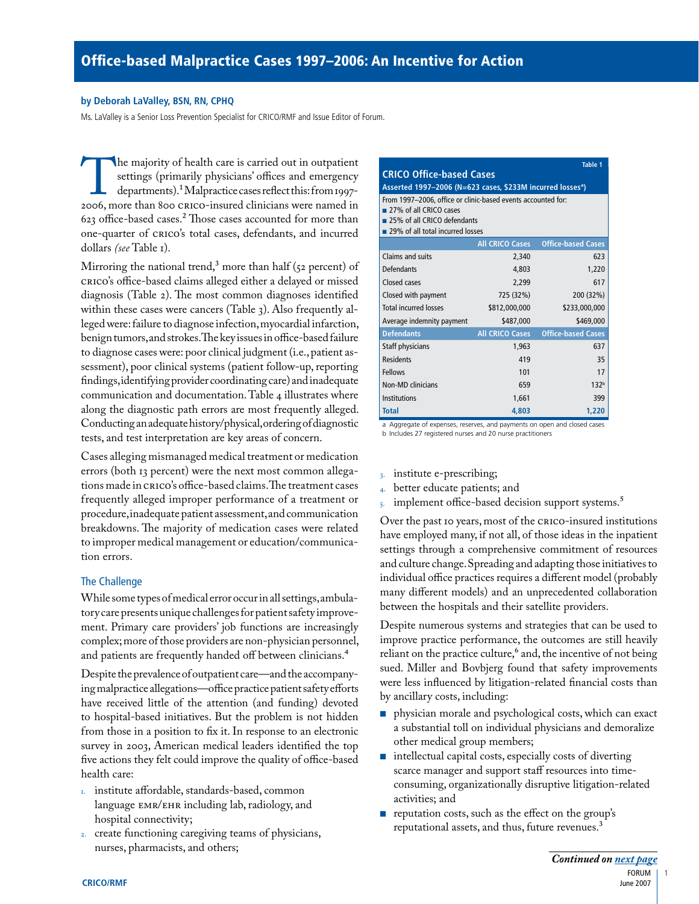### <span id="page-2-0"></span>**by Deborah LaValley, BSN, RN, CPHQ**

Ms. LaValley is a Senior Loss Prevention Specialist for CRICO/RMF and Issue Editor of Forum.

The majority of health care is carried out in outpatient<br>settings (primarily physicians' offices and emergency<br>departments).<sup>1</sup> Malpractice cases reflect this: from 1997-<br>2006, more than 800 CRICO-insured clinicians were n settings (primarily physicians' offices and emergency departments).1 Malpractice cases reflect this: from 1997- 2006, more than 800 CRICO-insured clinicians were named in 623 office-based cases.2 Those cases accounted for more than one-quarter of CRICO's total cases, defendants, and incurred dollars *(see* Table 1).

Mirroring the national trend,<sup>3</sup> more than half (52 percent) of CRICO's office-based claims alleged either a delayed or missed diagnosis (Table 2). The most common diagnoses identified within these cases were cancers (Table 3). Also frequently alleged were: failure to diagnose infection, myocardial infarction, benign tumors, and strokes. The key issues in office-based failure to diagnose cases were: poor clinical judgment (i.e., patient assessment), poor clinical systems (patient follow-up, reporting findings, identifying provider coordinating care) and inadequate communication and documentation. Table 4 illustrates where along the diagnostic path errors are most frequently alleged. Conducting an adequate history/physical, ordering of diagnostic tests, and test interpretation are key areas of concern.

Cases alleging mismanaged medical treatment or medication errors (both 13 percent) were the next most common allegations made in CRICO's office-based claims. The treatment cases frequently alleged improper performance of a treatment or procedure, inadequate patient assessment, and communication breakdowns. The majority of medication cases were related to improper medical management or education/communication errors.

# The Challenge

While some types of medical error occur in all settings, ambulatory care presents unique challenges for patient safety improvement. Primary care providers' job functions are increasingly complex; more of those providers are non-physician personnel, and patients are frequently handed off between clinicians.<sup>4</sup>

Despite the prevalence of outpatient care—and the accompanying malpractice allegations—office practice patient safety efforts have received little of the attention (and funding) devoted to hospital-based initiatives. But the problem is not hidden from those in a position to fix it. In response to an electronic survey in 2003, American medical leaders identified the top five actions they felt could improve the quality of office-based health care:

- 1. institute affordable, standards-based, common language EMR/EHR including lab, radiology, and hospital connectivity;
- 2. create functioning caregiving teams of physicians, nurses, pharmacists, and others;

| <b>CRICO Office-based Cases</b>                                                                                                                           |                        | <b>Table 1</b>            |  |  |  |
|-----------------------------------------------------------------------------------------------------------------------------------------------------------|------------------------|---------------------------|--|--|--|
| Asserted 1997-2006 (N=623 cases, \$233M incurred losses <sup>a</sup> )                                                                                    |                        |                           |  |  |  |
| From 1997-2006, office or clinic-based events accounted for:<br>27% of all CRICO cases<br>25% of all CRICO defendants<br>29% of all total incurred losses |                        |                           |  |  |  |
|                                                                                                                                                           | <b>All CRICO Cases</b> | <b>Office-based Cases</b> |  |  |  |
| Claims and suits                                                                                                                                          | 2,340                  | 623                       |  |  |  |
| <b>Defendants</b>                                                                                                                                         | 4.803                  | 1,220                     |  |  |  |
| Closed cases                                                                                                                                              | 2,299                  | 617                       |  |  |  |
| Closed with payment                                                                                                                                       | 725 (32%)              | 200 (32%)                 |  |  |  |
| <b>Total incurred losses</b>                                                                                                                              | \$812,000,000          | \$233,000,000             |  |  |  |
| Average indemnity payment                                                                                                                                 | \$487,000              | \$469,000                 |  |  |  |
| <b>Defendants</b>                                                                                                                                         | <b>All CRICO Cases</b> | <b>Office-based Cases</b> |  |  |  |
| Staff physicians                                                                                                                                          | 1,963                  | 637                       |  |  |  |
| Residents                                                                                                                                                 | 419                    | 35                        |  |  |  |
| Fellows                                                                                                                                                   | 101                    | 17                        |  |  |  |
| Non-MD clinicians                                                                                                                                         | 659                    | 132 <sup>b</sup>          |  |  |  |
| Institutions                                                                                                                                              | 1,661                  | 399                       |  |  |  |
| <b>Total</b>                                                                                                                                              | 4,803                  | 1,220                     |  |  |  |

a Aggregate of expenses, reserves, and payments on open and closed cases b Includes 27 registered nurses and 20 nurse practitioners

- 3. institute e-prescribing;
- 4. better educate patients; and
- 5. implement office-based decision support systems.<sup>5</sup>

Over the past 10 years, most of the CRICO-insured institutions have employed many, if not all, of those ideas in the inpatient settings through a comprehensive commitment of resources and culture change. Spreading and adapting those initiatives to individual office practices requires a different model (probably many different models) and an unprecedented collaboration between the hospitals and their satellite providers.

Despite numerous systems and strategies that can be used to improve practice performance, the outcomes are still heavily reliant on the practice culture, $6$  and, the incentive of not being sued. Miller and Bovbjerg found that safety improvements were less influenced by litigation-related financial costs than by ancillary costs, including:

- physician morale and psychological costs, which can exact a substantial toll on individual physicians and demoralize other medical group members;
- intellectual capital costs, especially costs of diverting scarce manager and support staff resources into timeconsuming, organizationally disruptive litigation-related activities; and
- reputation costs, such as the effect on the group's reputational assets, and thus, future revenues.<sup>3</sup>

1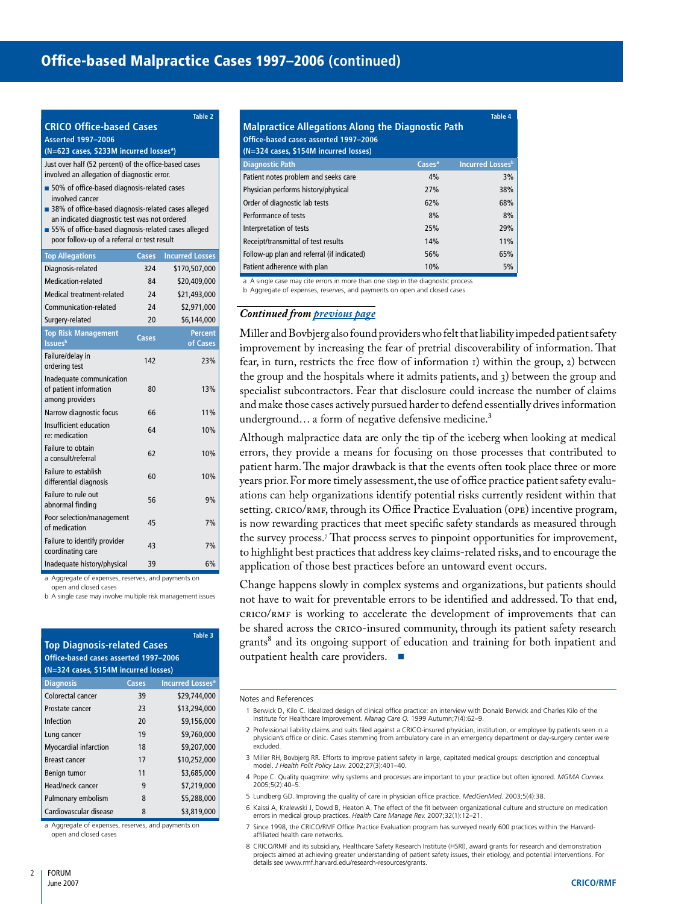|                                                                        |       | <b>Table 2</b>         | Ī              |  |  |  |
|------------------------------------------------------------------------|-------|------------------------|----------------|--|--|--|
| <b>CRICO Office-based Cases</b>                                        |       |                        |                |  |  |  |
| <b>Asserted 1997-2006</b>                                              |       |                        |                |  |  |  |
| (N=623 cases, \$233M incurred losses <sup>a</sup> )                    |       |                        |                |  |  |  |
| Just over half (52 percent) of the office-based cases                  |       |                        |                |  |  |  |
| involved an allegation of diagnostic error.                            |       |                        |                |  |  |  |
| ■ 50% of office-based diagnosis-related cases                          |       |                        |                |  |  |  |
| involved cancer<br>38% of office-based diagnosis-related cases alleged |       |                        |                |  |  |  |
| an indicated diagnostic test was not ordered                           |       |                        | F              |  |  |  |
| 55% of office-based diagnosis-related cases alleged                    |       |                        | I              |  |  |  |
| poor follow-up of a referral or test result                            |       |                        | F              |  |  |  |
| <b>Top Allegations</b>                                                 | Cases | <b>Incurred Losses</b> | F              |  |  |  |
| Diagnosis-related                                                      | 324   | \$170,507,000          | F              |  |  |  |
| Medication-related                                                     | 84    | \$20,409,000           | ĉ              |  |  |  |
| Medical treatment-related                                              | 24    | \$21,493,000           | ŀ              |  |  |  |
| Communication-related                                                  | 24    | \$2,971,000            | C              |  |  |  |
| Surgery-related                                                        | 20    | \$6,144,000            |                |  |  |  |
| <b>Top Risk Management</b>                                             | Cases | <b>Percent</b>         | 'N             |  |  |  |
| <b>Issues</b> b                                                        |       | of Cases               | ir             |  |  |  |
| Failure/delay in<br>ordering test                                      | 142   | 23%                    | f              |  |  |  |
| Inadequate communication                                               |       |                        | tŀ             |  |  |  |
| of patient information<br>among providers                              | 80    | 13%                    | S <sub>1</sub> |  |  |  |
| Narrow diagnostic focus                                                | 66    | 11%                    | a:             |  |  |  |
| Insufficient education<br>re: medication                               | 64    | 10%                    | u<br>А         |  |  |  |
| Failure to obtain<br>a consult/referral                                | 62    | 10%                    | e <sub>i</sub> |  |  |  |
| Failure to establish<br>differential diagnosis                         | 60    | 10%                    | p<br>y         |  |  |  |
| Failure to rule out<br>abnormal finding                                | 56    | 9%                     | a1             |  |  |  |

railure to identify provider the day of the day of the day of the day of the day of the day of the day of the<br>coordinating care Inadequate history/physical 39 6%

Poor selection/management 45 and 45 7%

a Aggregate of expenses, reserves, and payments on

open and closed cases

Poor selection/management

Failure to identify provider

b A single case may involve multiple risk management issues

| Table 3<br>Top Diagnosis-related Cases<br>Office-based cases asserted 1997-2006<br>(N=324 cases, \$154M incurred losses) |       |                                    |  |  |  |
|--------------------------------------------------------------------------------------------------------------------------|-------|------------------------------------|--|--|--|
| <b>Diagnosis</b>                                                                                                         | Cases | <b>Incurred Losses<sup>a</sup></b> |  |  |  |
| Colorectal cancer                                                                                                        | 39    | \$29,744,000                       |  |  |  |
| Prostate cancer                                                                                                          | 23    | \$13,294,000                       |  |  |  |
| Infection                                                                                                                | 20    | \$9,156,000                        |  |  |  |
| Lung cancer                                                                                                              | 19    | \$9,760,000                        |  |  |  |
| <b>Myocardial infarction</b>                                                                                             | 18    | \$9,207,000                        |  |  |  |
| <b>Breast cancer</b>                                                                                                     | 17    | \$10,252,000                       |  |  |  |
| Benign tumor                                                                                                             | 11    | \$3,685,000                        |  |  |  |
| Head/neck cancer                                                                                                         | q     | \$7,219,000                        |  |  |  |
| Pulmonary embolism                                                                                                       | 8     | \$5,288,000                        |  |  |  |
| Cardiovascular disease                                                                                                   | 8     | \$3,819,000                        |  |  |  |

a Aggregate of expenses, reserves, and payments on open and closed cases

| <b>Table 4</b><br><b>Malpractice Allegations Along the Diagnostic Path</b><br>Office-based cases asserted 1997-2006<br>(N=324 cases, \$154M incurred losses) |                    |                         |  |  |
|--------------------------------------------------------------------------------------------------------------------------------------------------------------|--------------------|-------------------------|--|--|
| <b>Diagnostic Path</b>                                                                                                                                       | Cases <sup>a</sup> | <b>Incurred Lossesb</b> |  |  |
| Patient notes problem and seeks care                                                                                                                         | 4%                 | 3%                      |  |  |
| Physician performs history/physical                                                                                                                          | 27%                | 38%                     |  |  |
| Order of diagnostic lab tests                                                                                                                                | 62%                | 68%                     |  |  |
| Performance of tests                                                                                                                                         | 8%                 | 8%                      |  |  |
| Interpretation of tests                                                                                                                                      | 25%                | 29%                     |  |  |
| Receipt/transmittal of test results                                                                                                                          | 14%                | 11%                     |  |  |
| Follow-up plan and referral (if indicated)                                                                                                                   | 56%                | 65%                     |  |  |
| Patient adherence with plan                                                                                                                                  | 10%                | 5%                      |  |  |

A single case may cite errors in more than one step in the diagnostic process

<span id="page-3-0"></span>Aggregate of expenses, reserves, and payments on open and closed cases

# *Continued from [previous page](#page-2-0)*

Miller and Bovbjerg also found providers who felt that liability impeded patient safety mprovement by increasing the fear of pretrial discoverability of information. That ear, in turn, restricts the free flow of information 1) within the group, 2) between the group and the hospitals where it admits patients, and  $3$ ) between the group and specialist subcontractors. Fear that disclosure could increase the number of claims and make those cases actively pursued harder to defend essentially drives information nderground... a form of negative defensive medicine.<sup>3</sup>

Although malpractice data are only the tip of the iceberg when looking at medical errors, they provide a means for focusing on those processes that contributed to patient harm. The major drawback is that the events often took place three or more ears prior. For more timely assessment, the use of office practice patient safety evalutions can help organizations identify potential risks currently resident within that setting. CRICO/RMF, through its Office Practice Evaluation (OPE) incentive program, is now rewarding practices that meet specific safety standards as measured through the survey process.7 That process serves to pinpoint opportunities for improvement, to highlight best practices that address key claims-related risks, and to encourage the application of those best practices before an untoward event occurs.

Change happens slowly in complex systems and organizations, but patients should not have to wait for preventable errors to be identified and addressed. To that end, CRICO/RMF is working to accelerate the development of improvements that can be shared across the CRICO-insured community, through its patient safety research grants<sup>8</sup> and its ongoing support of education and training for both inpatient and outpatient health care providers. ■

#### Notes and References

- 1 Berwick D, Kilo C. Idealized design of clinical office practice: an interview with Donald Berwick and Charles Kilo of the Institute for Healthcare Improvement. *Manag Care Q.* 1999 Autumn;7(4):62–9.
- 2 Professional liability claims and suits filed against a CRICO-insured physician, institution, or employee by patients seen in a physician's office or clinic. Cases stemming from ambulatory care in an emergency department or day-surgery center were excluded.
- 3 Miller RH, Bovbjerg RR. Efforts to improve patient safety in large, capitated medical groups: description and conceptual model. *J Health Polit Policy Law.* 2002;27(3):401–40.
- 4 Pope C. Quality quagmire: why systems and processes are important to your practice but often ignored. *MGMA Connex.* 2005;5(2):40–5.
- 5 Lundberg GD. Improving the quality of care in physician office practice. *MedGenMed.* 2003;5(4):38.
- 6 Kaissi A, Kralewski J, Dowd B, Heaton A. The effect of the fit between organizational culture and structure on medication errors in medical group practices. *Health Care Manage Rev.* 2007;32(1):12–21.
- 7 Since 1998, the CRICO/RMF Office Practice Evaluation program has surveyed nearly 600 practices within the Harvardaffiliated health care networks.
- 8 CRICO/RMF and its subsidiary, Healthcare Safety Research Institute (HSRI), award grants for research and demonstration projects aimed at achieving greater understanding of patient safety issues, their etiology, and potential interventions. For details see www.rmf.harvard.edu/research-resources/grants.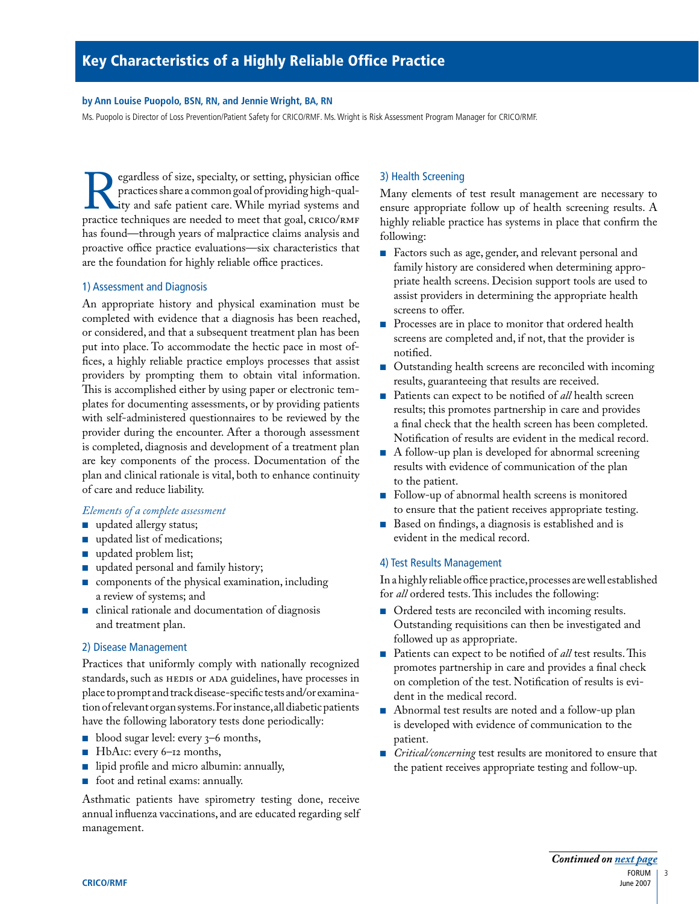#### <span id="page-4-0"></span>**by Ann Louise Puopolo, BSN, RN, and Jennie Wright, BA, RN**

Ms. Puopolo is Director of Loss Prevention/Patient Safety for CRICO/RMF. Ms. Wright is Risk Assessment Program Manager for CRICO/RMF.

Pegardless of size, specialty, or setting, physician office practices share a common goal of providing high-qual-<br>ity and safe patient care. While myriad systems and practice techniques are needed to meet that goal, CRICO/ practices share a common goal of providing high-quality and safe patient care. While myriad systems and has found—through years of malpractice claims analysis and proactive office practice evaluations—six characteristics that are the foundation for highly reliable office practices.

# 1) Assessment and Diagnosis

An appropriate history and physical examination must be completed with evidence that a diagnosis has been reached, or considered, and that a subsequent treatment plan has been put into place. To accommodate the hectic pace in most offices, a highly reliable practice employs processes that assist providers by prompting them to obtain vital information. This is accomplished either by using paper or electronic templates for documenting assessments, or by providing patients with self-administered questionnaires to be reviewed by the provider during the encounter. After a thorough assessment is completed, diagnosis and development of a treatment plan are key components of the process. Documentation of the plan and clinical rationale is vital, both to enhance continuity of care and reduce liability.

# *Elements of a complete assessment*

- updated allergy status;
- updated list of medications;
- updated problem list;
- updated personal and family history;
- components of the physical examination, including a review of systems; and
- clinical rationale and documentation of diagnosis and treatment plan.

# 2) Disease Management

Practices that uniformly comply with nationally recognized standards, such as HEDIS or ADA guidelines, have processes in place to prompt and track disease-specific tests and/or examination of relevant organ systems. For instance, all diabetic patients have the following laboratory tests done periodically:

- blood sugar level: every  $3-6$  months,
- HbA1c: every 6–12 months,
- lipid profile and micro albumin: annually,
- foot and retinal exams: annually.

Asthmatic patients have spirometry testing done, receive annual influenza vaccinations, and are educated regarding self management.

# 3) Health Screening

Many elements of test result management are necessary to ensure appropriate follow up of health screening results. A highly reliable practice has systems in place that confirm the following:

- Factors such as age, gender, and relevant personal and family history are considered when determining appropriate health screens. Decision support tools are used to assist providers in determining the appropriate health screens to offer.
- Processes are in place to monitor that ordered health screens are completed and, if not, that the provider is notified.
- Outstanding health screens are reconciled with incoming results, guaranteeing that results are received.
- Patients can expect to be notified of *all* health screen results; this promotes partnership in care and provides a final check that the health screen has been completed. Notification of results are evident in the medical record.
- A follow-up plan is developed for abnormal screening results with evidence of communication of the plan to the patient.
- Follow-up of abnormal health screens is monitored to ensure that the patient receives appropriate testing.
- Based on findings, a diagnosis is established and is evident in the medical record.

# 4) Test Results Management

In a highly reliable office practice, processes are well established for *all* ordered tests. This includes the following:

- Ordered tests are reconciled with incoming results. Outstanding requisitions can then be investigated and followed up as appropriate.
- Patients can expect to be notified of *all* test results. This promotes partnership in care and provides a final check on completion of the test. Notification of results is evident in the medical record.
- Abnormal test results are noted and a follow-up plan is developed with evidence of communication to the patient.
- *Critical/concerning* test results are monitored to ensure that the patient receives appropriate testing and follow-up.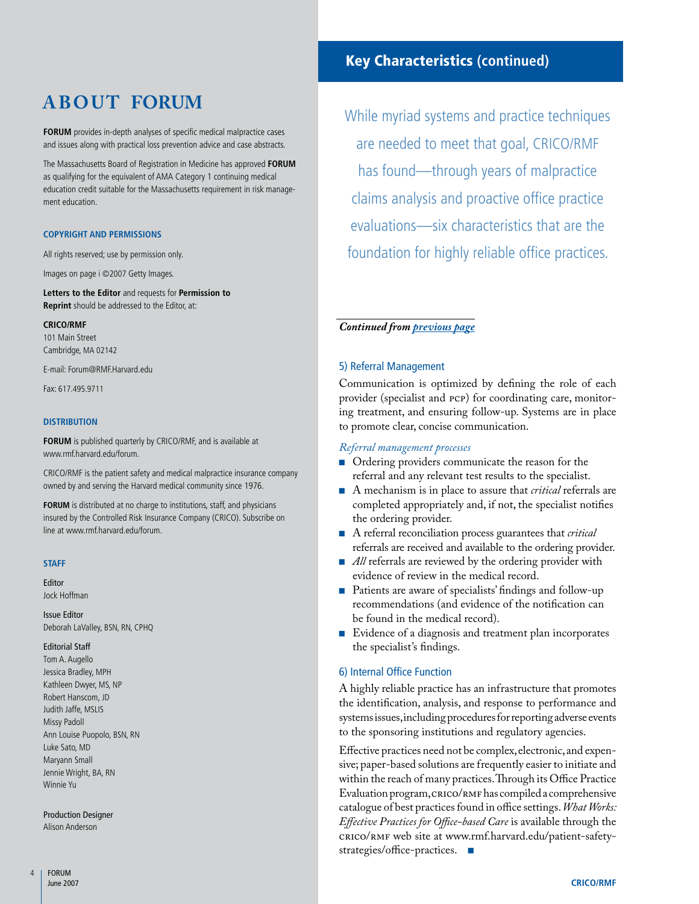# **A B O U T FORUM**

**FORUM** provides in-depth analyses of specific medical malpractice cases and issues along with practical loss prevention advice and case abstracts.

The Massachusetts Board of Registration in Medicine has approved **Forum** as qualifying for the equivalent of AMA Category 1 continuing medical education credit suitable for the Massachusetts requirement in risk management education.

#### **Copyright and Permissions**

All rights reserved; use by permission only.

Images on page i ©2007 Getty Images.

**Letters to the Editor** and requests for **Permission to Reprint** should be addressed to the Editor, at:

#### **CRICO/RMF**

101 Main Street Cambridge, MA 02142

E-mail: Forum@RMF.Harvard.edu

Fax: 617.495.9711

#### **Distribution**

**FORUM** is published quarterly by CRICO/RMF, and is available at www.rmf.harvard.edu/forum.

CRICO/RMF is the patient safety and medical malpractice insurance company owned by and serving the Harvard medical community since 1976.

**FORUM** is distributed at no charge to institutions, staff, and physicians insured by the Controlled Risk Insurance Company (CRICO). Subscribe on line at www.rmf.harvard.edu/forum.

#### **Staff**

Editor Jock Hoffman

Issue Editor Deborah LaValley, BSN, RN, CPHQ

#### Editorial Staff

Tom A. Augello Jessica Bradley, MPH Kathleen Dwyer, MS, NP Robert Hanscom, JD Judith Jaffe, MSLIS Missy Padoll Ann Louise Puopolo, BSN, RN Luke Sato, MD Maryann Small Jennie Wright, BA, RN Winnie Yu

Production Designer Alison Anderson

# Key Characteristics **(continued)**

While myriad systems and practice techniques are needed to meet that goal, CRICO/RMF has found—through years of malpractice claims analysis and proactive office practice evaluations—six characteristics that are the foundation for highly reliable office practices.

# <span id="page-5-0"></span>*Continued from [previous page](#page-4-0)*

#### 5) Referral Management

Communication is optimized by defining the role of each provider (specialist and PCP) for coordinating care, monitoring treatment, and ensuring follow-up. Systems are in place to promote clear, concise communication.

#### *Referral management processes*

- Ordering providers communicate the reason for the referral and any relevant test results to the specialist.
- A mechanism is in place to assure that *critical* referrals are completed appropriately and, if not, the specialist notifies the ordering provider.
- A referral reconciliation process guarantees that *critical* referrals are received and available to the ordering provider.
- *All* referrals are reviewed by the ordering provider with evidence of review in the medical record.
- Patients are aware of specialists' findings and follow-up recommendations (and evidence of the notification can be found in the medical record).
- Evidence of a diagnosis and treatment plan incorporates the specialist's findings.

# 6) Internal Office Function

A highly reliable practice has an infrastructure that promotes the identification, analysis, and response to performance and systems issues, including procedures for reporting adverse events to the sponsoring institutions and regulatory agencies.

Effective practices need not be complex, electronic, and expensive; paper-based solutions are frequently easier to initiate and within the reach of many practices. Through its Office Practice Evaluation program, CRICO/RMF has compiled a comprehensive catalogue of best practices found in office settings. *What Works: Effective Practices for Office-based Care* is available through the CRICO/RMF web site at www.rmf.harvard.edu/patient-safetystrategies/office-practices. ■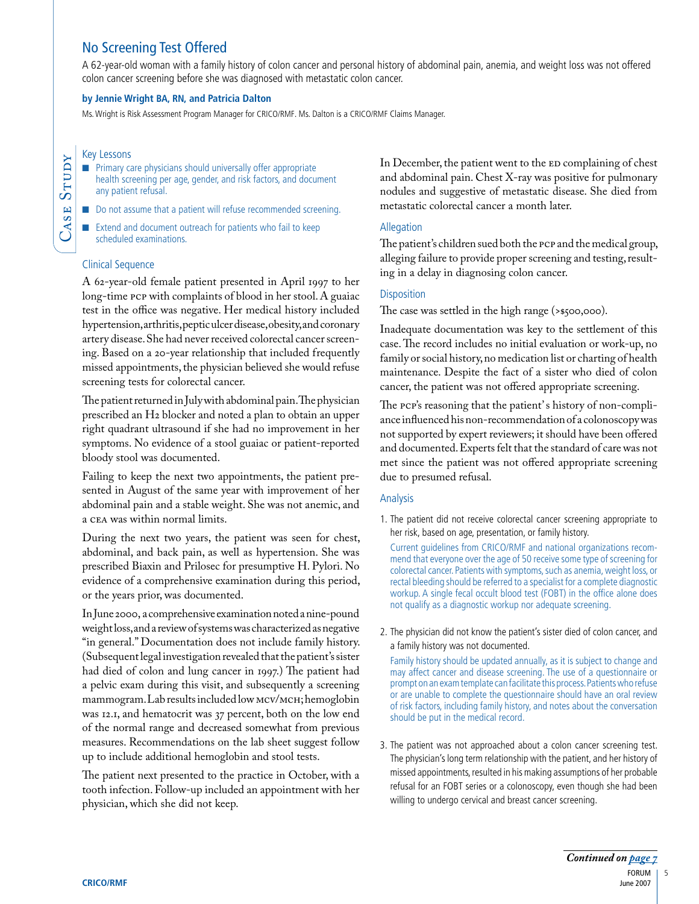# <span id="page-6-0"></span>No Screening Test Offered

A 62-year-old woman with a family history of colon cancer and personal history of abdominal pain, anemia, and weight loss was not offered colon cancer screening before she was diagnosed with metastatic colon cancer.

# **by Jennie Wright BA, RN, and Patricia Dalton**

Ms. Wright is Risk Assessment Program Manager for CRICO/RMF. Ms. Dalton is a CRICO/RMF Claims Manager.

#### Key Lessons

ASE

Stu  $\mathsf{a}$  $\blacktriangleright$ 

- Primary care physicians should universally offer appropriate health screening per age, gender, and risk factors, and document any patient refusal.
- Do not assume that a patient will refuse recommended screening.
- Extend and document outreach for patients who fail to keep scheduled examinations.

# Clinical Sequence

A 62-year-old female patient presented in April 1997 to her long-time PCP with complaints of blood in her stool. A guaiac test in the office was negative. Her medical history included hypertension, arthritis, peptic ulcer disease, obesity, and coronary artery disease. She had never received colorectal cancer screening. Based on a 20-year relationship that included frequently missed appointments, the physician believed she would refuse screening tests for colorectal cancer.

The patient returned in July with abdominal pain. The physician prescribed an H2 blocker and noted a plan to obtain an upper right quadrant ultrasound if she had no improvement in her symptoms. No evidence of a stool guaiac or patient-reported bloody stool was documented.

Failing to keep the next two appointments, the patient presented in August of the same year with improvement of her abdominal pain and a stable weight. She was not anemic, and a CEA was within normal limits.

During the next two years, the patient was seen for chest, abdominal, and back pain, as well as hypertension. She was prescribed Biaxin and Prilosec for presumptive H. Pylori. No evidence of a comprehensive examination during this period, or the years prior, was documented.

In June 2000, a comprehensive examination noted a nine-pound weight loss, and a review of systems was characterized as negative "in general." Documentation does not include family history. (Subsequent legal investigation revealed that the patient's sister had died of colon and lung cancer in 1997.) The patient had a pelvic exam during this visit, and subsequently a screening mammogram. Lab results included low MCV/MCH; hemoglobin was 12.1, and hematocrit was 37 percent, both on the low end of the normal range and decreased somewhat from previous measures. Recommendations on the lab sheet suggest follow up to include additional hemoglobin and stool tests.

The patient next presented to the practice in October, with a tooth infection. Follow-up included an appointment with her physician, which she did not keep.

In December, the patient went to the ED complaining of chest and abdominal pain. Chest X-ray was positive for pulmonary nodules and suggestive of metastatic disease. She died from metastatic colorectal cancer a month later.

# Allegation

The patient's children sued both the PCP and the medical group, alleging failure to provide proper screening and testing, resulting in a delay in diagnosing colon cancer.

# **Disposition**

The case was settled in the high range (>\$500,000).

Inadequate documentation was key to the settlement of this case. The record includes no initial evaluation or work-up, no family or social history, no medication list or charting of health maintenance. Despite the fact of a sister who died of colon cancer, the patient was not offered appropriate screening.

The PCP's reasoning that the patient's history of non-compliance influenced his non-recommendation of a colonoscopy was not supported by expert reviewers; it should have been offered and documented. Experts felt that the standard of care was not met since the patient was not offered appropriate screening due to presumed refusal.

# Analysis

1. The patient did not receive colorectal cancer screening appropriate to her risk, based on age, presentation, or family history.

Current guidelines from CRICO/RMF and national organizations recommend that everyone over the age of 50 receive some type of screening for colorectal cancer. Patients with symptoms, such as anemia, weight loss, or rectal bleeding should be referred to a specialist for a complete diagnostic workup. A single fecal occult blood test (FOBT) in the office alone does not qualify as a diagnostic workup nor adequate screening.

2. The physician did not know the patient's sister died of colon cancer, and a family history was not documented.

Family history should be updated annually, as it is subject to change and may affect cancer and disease screening. The use of a questionnaire or prompt on an exam template can facilitate this process. Patients who refuse or are unable to complete the questionnaire should have an oral review of risk factors, including family history, and notes about the conversation should be put in the medical record.

3. The patient was not approached about a colon cancer screening test. The physician's long term relationship with the patient, and her history of missed appointments, resulted in his making assumptions of her probable refusal for an FOBT series or a colonoscopy, even though she had been willing to undergo cervical and breast cancer screening.

5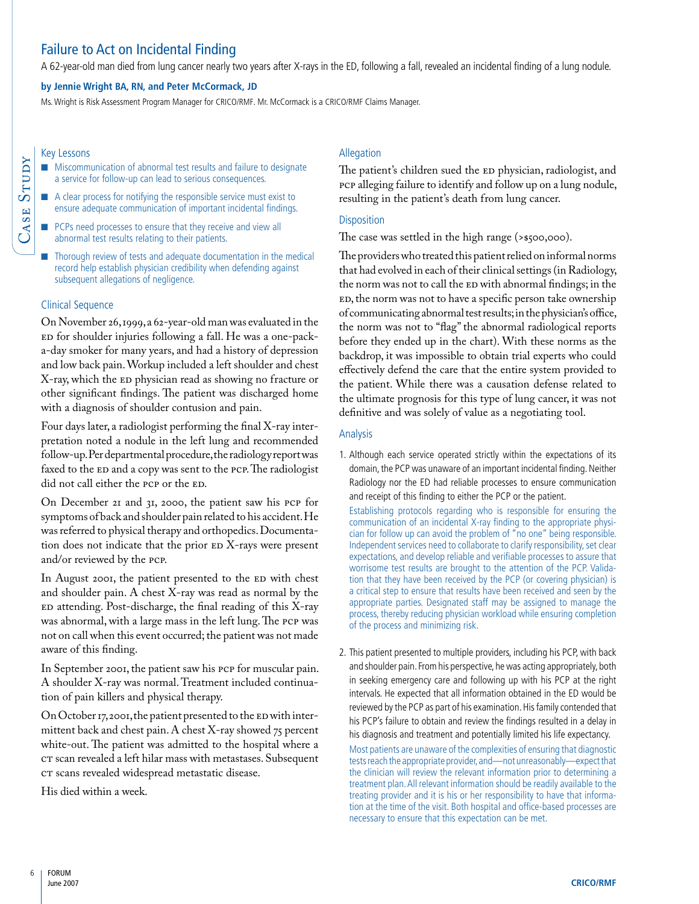# <span id="page-7-0"></span>Failure to Act on Incidental Finding

A 62-year-old man died from lung cancer nearly two years after X-rays in the ED, following a fall, revealed an incidental finding of a lung nodule.

#### **by Jennie Wright BA, RN, and Peter McCormack, JD**

Ms. Wright is Risk Assessment Program Manager for CRICO/RMF. Mr. McCormack is a CRICO/RMF Claims Manager.

#### Key Lessons

Case

Stu  $\mathsf{a}$  $\blacktriangleright$ 

- Miscommunication of abnormal test results and failure to designate a service for follow-up can lead to serious consequences.
- A clear process for notifying the responsible service must exist to ensure adequate communication of important incidental findings.
- PCPs need processes to ensure that they receive and view all abnormal test results relating to their patients.
- Thorough review of tests and adequate documentation in the medical record help establish physician credibility when defending against subsequent allegations of negligence.

#### Clinical Sequence

On November 26, 1999, a 62-year-old man was evaluated in the ED for shoulder injuries following a fall. He was a one-packa-day smoker for many years, and had a history of depression and low back pain. Workup included a left shoulder and chest X-ray, which the ED physician read as showing no fracture or other significant findings. The patient was discharged home with a diagnosis of shoulder contusion and pain.

Four days later, a radiologist performing the final X-ray interpretation noted a nodule in the left lung and recommended follow-up. Per departmental procedure, the radiology report was faxed to the ED and a copy was sent to the PCP. The radiologist did not call either the PCP or the ED.

On December 21 and 31, 2000, the patient saw his PCP for symptoms of back and shoulder pain related to his accident. He was referred to physical therapy and orthopedics. Documentation does not indicate that the prior ED X-rays were present and/or reviewed by the PCP.

In August 2001, the patient presented to the ED with chest and shoulder pain. A chest X-ray was read as normal by the ED attending. Post-discharge, the final reading of this X-ray was abnormal, with a large mass in the left lung. The PCP was not on call when this event occurred; the patient was not made aware of this finding.

In September 2001, the patient saw his PCP for muscular pain. A shoulder X-ray was normal. Treatment included continuation of pain killers and physical therapy.

On October 17, 2001, the patient presented to the ED with intermittent back and chest pain. A chest X-ray showed 75 percent white-out. The patient was admitted to the hospital where a CT scan revealed a left hilar mass with metastases. Subsequent CT scans revealed widespread metastatic disease.

His died within a week.

# Allegation

The patient's children sued the ED physician, radiologist, and PCP alleging failure to identify and follow up on a lung nodule, resulting in the patient's death from lung cancer.

#### **Disposition**

The case was settled in the high range (>\$500,000).

The providers who treated this patient relied on informal norms that had evolved in each of their clinical settings (in Radiology, the norm was not to call the ED with abnormal findings; in the ED, the norm was not to have a specific person take ownership of communicating abnormal test results; in the physician's office, the norm was not to "flag" the abnormal radiological reports before they ended up in the chart). With these norms as the backdrop, it was impossible to obtain trial experts who could effectively defend the care that the entire system provided to the patient. While there was a causation defense related to the ultimate prognosis for this type of lung cancer, it was not definitive and was solely of value as a negotiating tool.

#### Analysis

1. Although each service operated strictly within the expectations of its domain, the PCP was unaware of an important incidental finding. Neither Radiology nor the ED had reliable processes to ensure communication and receipt of this finding to either the PCP or the patient.

Establishing protocols regarding who is responsible for ensuring the communication of an incidental X-ray finding to the appropriate physician for follow up can avoid the problem of "no one" being responsible. Independent services need to collaborate to clarify responsibility, set clear expectations, and develop reliable and verifiable processes to assure that worrisome test results are brought to the attention of the PCP. Validation that they have been received by the PCP (or covering physician) is a critical step to ensure that results have been received and seen by the appropriate parties. Designated staff may be assigned to manage the process, thereby reducing physician workload while ensuring completion of the process and minimizing risk.

2. This patient presented to multiple providers, including his PCP, with back and shoulder pain. From his perspective, he was acting appropriately, both in seeking emergency care and following up with his PCP at the right intervals. He expected that all information obtained in the ED would be reviewed by the PCP as part of his examination. His family contended that his PCP's failure to obtain and review the findings resulted in a delay in his diagnosis and treatment and potentially limited his life expectancy.

Most patients are unaware of the complexities of ensuring that diagnostic tests reach the appropriate provider, and—not unreasonably—expect that the clinician will review the relevant information prior to determining a treatment plan. All relevant information should be readily available to the treating provider and it is his or her responsibility to have that information at the time of the visit. Both hospital and office-based processes are necessary to ensure that this expectation can be met.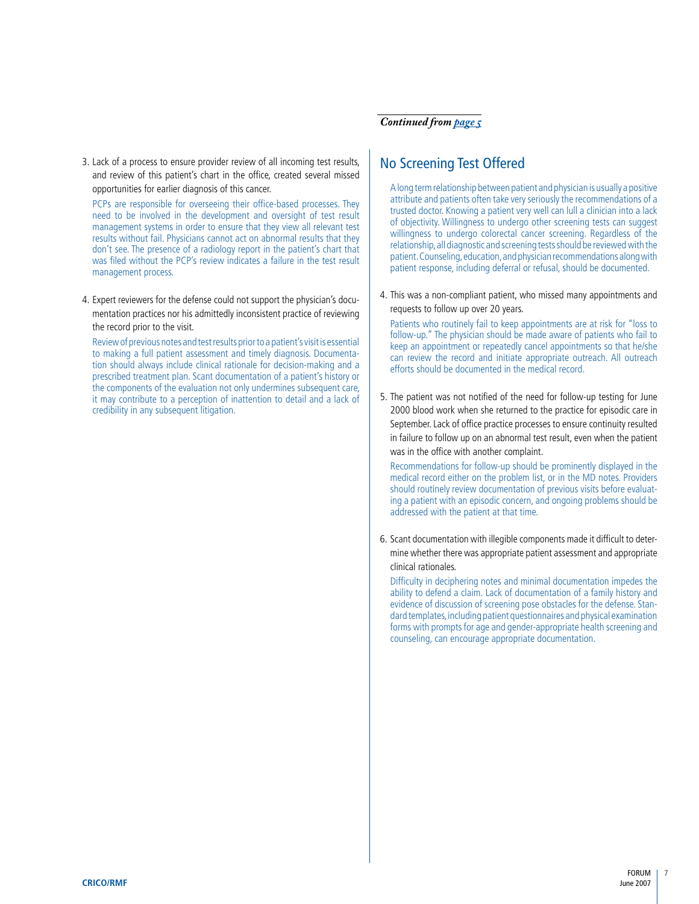3. Lack of a process to ensure provider review of all incoming test results, and review of this patient's chart in the office, created several missed opportunities for earlier diagnosis of this cancer.

PCPs are responsible for overseeing their office-based processes. They need to be involved in the development and oversight of test result management systems in order to ensure that they view all relevant test results without fail. Physicians cannot act on abnormal results that they don't see. The presence of a radiology report in the patient's chart that was filed without the PCP's review indicates a failure in the test result management process.

4. Expert reviewers for the defense could not support the physician's documentation practices nor his admittedly inconsistent practice of reviewing the record prior to the visit.

Review of previous notes and test results prior to a patient's visit is essential to making a full patient assessment and timely diagnosis. Documentation should always include clinical rationale for decision-making and a prescribed treatment plan. Scant documentation of a patient's history or the components of the evaluation not only undermines subsequent care, it may contribute to a perception of inattention to detail and a lack of credibility in any subsequent litigation.

# <span id="page-8-0"></span>*Continued from [page 5](#page-6-0)*

# No Screening Test Offered

A long term relationship between patient and physician is usually a positive attribute and patients often take very seriously the recommendations of a trusted doctor. Knowing a patient very well can lull a clinician into a lack of objectivity. Willingness to undergo other screening tests can suggest willingness to undergo colorectal cancer screening. Regardless of the relationship, all diagnostic and screening tests should be reviewed with the patient. Counseling, education, and physician recommendations along with patient response, including deferral or refusal, should be documented.

4. This was a non-compliant patient, who missed many appointments and requests to follow up over 20 years.

Patients who routinely fail to keep appointments are at risk for "loss to follow-up." The physician should be made aware of patients who fail to keep an appointment or repeatedly cancel appointments so that he/she can review the record and initiate appropriate outreach. All outreach efforts should be documented in the medical record.

5. The patient was not notified of the need for follow-up testing for June 2000 blood work when she returned to the practice for episodic care in September. Lack of office practice processes to ensure continuity resulted in failure to follow up on an abnormal test result, even when the patient was in the office with another complaint.

Recommendations for follow-up should be prominently displayed in the medical record either on the problem list, or in the MD notes. Providers should routinely review documentation of previous visits before evaluating a patient with an episodic concern, and ongoing problems should be addressed with the patient at that time.

6. Scant documentation with illegible components made it difficult to determine whether there was appropriate patient assessment and appropriate clinical rationales.

Difficulty in deciphering notes and minimal documentation impedes the ability to defend a claim. Lack of documentation of a family history and evidence of discussion of screening pose obstacles for the defense. Standard templates, including patient questionnaires and physical examination forms with prompts for age and gender-appropriate health screening and counseling, can encourage appropriate documentation.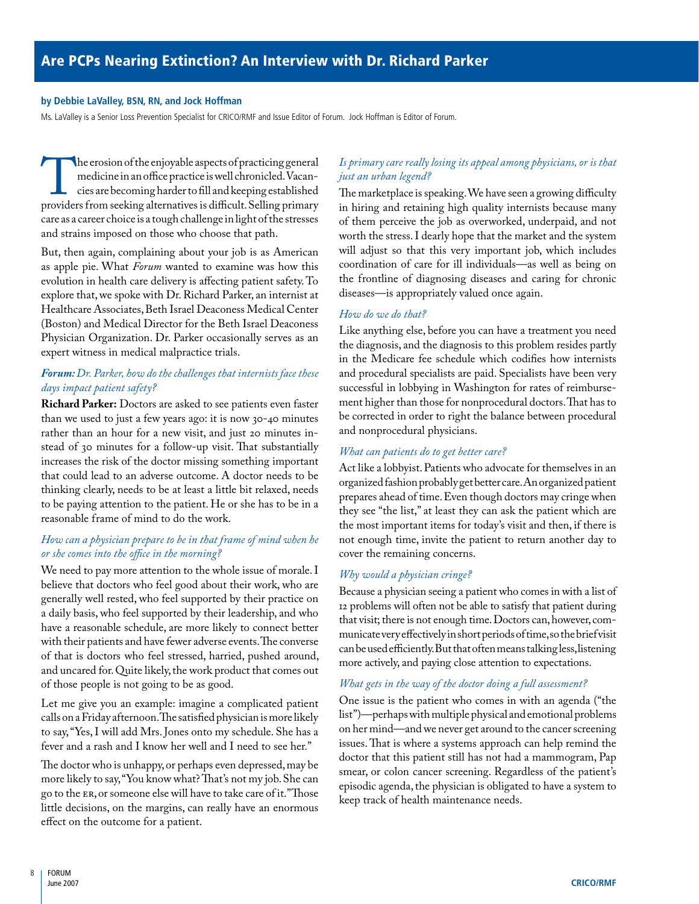### <span id="page-9-0"></span>**by Debbie LaValley, BSN, RN, and Jock Hoffman**

Ms. LaValley is a Senior Loss Prevention Specialist for CRICO/RMF and Issue Editor of Forum. Jock Hoffman is Editor of Forum.

The erosion of the enjoyable aspects of practicing general<br>
medicine in an office practice is well chronicled. Vacan-<br>
cies are becoming harder to fill and keeping established<br>
providers from seeking alternatives is diffic medicine in an office practice is well chronicled. Vacancies are becoming harder to fill and keeping established care as a career choice is a tough challenge in light of the stresses and strains imposed on those who choose that path.

But, then again, complaining about your job is as American as apple pie. What *Forum* wanted to examine was how this evolution in health care delivery is affecting patient safety. To explore that, we spoke with Dr. Richard Parker, an internist at Healthcare Associates, Beth Israel Deaconess Medical Center (Boston) and Medical Director for the Beth Israel Deaconess Physician Organization. Dr. Parker occasionally serves as an expert witness in medical malpractice trials.

# *Forum: Dr. Parker, how do the challenges that internists face these days impact patient safety?*

**Richard Parker:** Doctors are asked to see patients even faster than we used to just a few years ago: it is now 30-40 minutes rather than an hour for a new visit, and just 20 minutes instead of 30 minutes for a follow-up visit. That substantially increases the risk of the doctor missing something important that could lead to an adverse outcome. A doctor needs to be thinking clearly, needs to be at least a little bit relaxed, needs to be paying attention to the patient. He or she has to be in a reasonable frame of mind to do the work.

# *How can a physician prepare to be in that frame of mind when he or she comes into the office in the morning?*

We need to pay more attention to the whole issue of morale. I believe that doctors who feel good about their work, who are generally well rested, who feel supported by their practice on a daily basis, who feel supported by their leadership, and who have a reasonable schedule, are more likely to connect better with their patients and have fewer adverse events. The converse of that is doctors who feel stressed, harried, pushed around, and uncared for. Quite likely, the work product that comes out of those people is not going to be as good.

Let me give you an example: imagine a complicated patient calls on a Friday afternoon. The satisfied physician is more likely to say, "Yes, I will add Mrs. Jones onto my schedule. She has a fever and a rash and I know her well and I need to see her."

The doctor who is unhappy, or perhaps even depressed, may be more likely to say, "You know what? That's not my job. She can go to the ER, or someone else will have to take care of it." Those little decisions, on the margins, can really have an enormous effect on the outcome for a patient.

# *Is primary care really losing its appeal among physicians, or is that just an urban legend?*

The marketplace is speaking. We have seen a growing difficulty in hiring and retaining high quality internists because many of them perceive the job as overworked, underpaid, and not worth the stress. I dearly hope that the market and the system will adjust so that this very important job, which includes coordination of care for ill individuals—as well as being on the frontline of diagnosing diseases and caring for chronic diseases—is appropriately valued once again.

# *How do we do that?*

Like anything else, before you can have a treatment you need the diagnosis, and the diagnosis to this problem resides partly in the Medicare fee schedule which codifies how internists and procedural specialists are paid. Specialists have been very successful in lobbying in Washington for rates of reimbursement higher than those for nonprocedural doctors. That has to be corrected in order to right the balance between procedural and nonprocedural physicians.

# *What can patients do to get better care?*

Act like a lobbyist. Patients who advocate for themselves in an organized fashion probably get better care. An organized patient prepares ahead of time. Even though doctors may cringe when they see "the list," at least they can ask the patient which are the most important items for today's visit and then, if there is not enough time, invite the patient to return another day to cover the remaining concerns.

# *Why would a physician cringe?*

Because a physician seeing a patient who comes in with a list of 12 problems will often not be able to satisfy that patient during that visit; there is not enough time. Doctors can, however, communicate very effectively in short periods of time, so the brief visit can be used efficiently. But that often means talking less, listening more actively, and paying close attention to expectations.

# *What gets in the way of the doctor doing a full assessment?*

One issue is the patient who comes in with an agenda ("the list")—perhaps with multiple physical and emotional problems on her mind—and we never get around to the cancer screening issues. That is where a systems approach can help remind the doctor that this patient still has not had a mammogram, Pap smear, or colon cancer screening. Regardless of the patient's episodic agenda, the physician is obligated to have a system to keep track of health maintenance needs.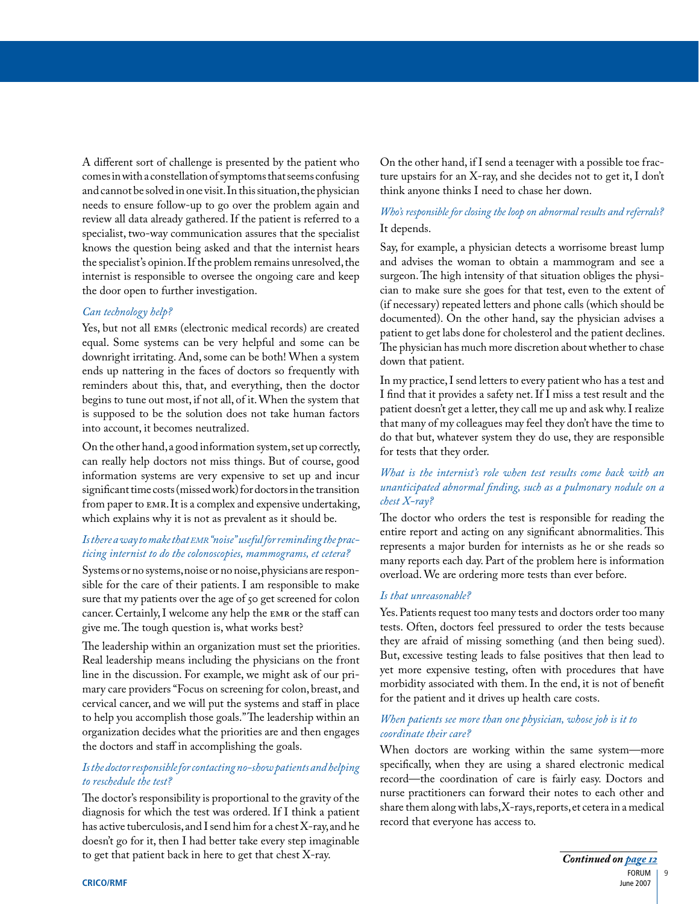<span id="page-10-0"></span>A different sort of challenge is presented by the patient who comes in with a constellation of symptoms that seems confusing and cannot be solved in one visit. In this situation, the physician needs to ensure follow-up to go over the problem again and review all data already gathered. If the patient is referred to a specialist, two-way communication assures that the specialist knows the question being asked and that the internist hears the specialist's opinion. If the problem remains unresolved, the internist is responsible to oversee the ongoing care and keep the door open to further investigation.

# *Can technology help?*

Yes, but not all EMRs (electronic medical records) are created equal. Some systems can be very helpful and some can be downright irritating. And, some can be both! When a system ends up nattering in the faces of doctors so frequently with reminders about this, that, and everything, then the doctor begins to tune out most, if not all, of it. When the system that is supposed to be the solution does not take human factors into account, it becomes neutralized.

On the other hand, a good information system, set up correctly, can really help doctors not miss things. But of course, good information systems are very expensive to set up and incur significant time costs (missed work) for doctors in the transition from paper to EMR. It is a complex and expensive undertaking, which explains why it is not as prevalent as it should be.

# *Is there a way to make that emr "noise" useful for reminding the practicing internist to do the colonoscopies, mammograms, et cetera?*

Systems or no systems, noise or no noise, physicians are responsible for the care of their patients. I am responsible to make sure that my patients over the age of 50 get screened for colon cancer. Certainly, I welcome any help the EMR or the staff can give me. The tough question is, what works best?

The leadership within an organization must set the priorities. Real leadership means including the physicians on the front line in the discussion. For example, we might ask of our primary care providers "Focus on screening for colon, breast, and cervical cancer, and we will put the systems and staff in place to help you accomplish those goals." The leadership within an organization decides what the priorities are and then engages the doctors and staff in accomplishing the goals.

# *Is the doctor responsible for contacting no-show patients and helping to reschedule the test?*

The doctor's responsibility is proportional to the gravity of the diagnosis for which the test was ordered. If I think a patient has active tuberculosis, and I send him for a chest X-ray, and he doesn't go for it, then I had better take every step imaginable to get that patient back in here to get that chest X-ray.

On the other hand, if I send a teenager with a possible toe fracture upstairs for an X-ray, and she decides not to get it, I don't think anyone thinks I need to chase her down.

# *Who's responsible for closing the loop on abnormal results and referrals?* It depends.

Say, for example, a physician detects a worrisome breast lump and advises the woman to obtain a mammogram and see a surgeon. The high intensity of that situation obliges the physician to make sure she goes for that test, even to the extent of (if necessary) repeated letters and phone calls (which should be documented). On the other hand, say the physician advises a patient to get labs done for cholesterol and the patient declines. The physician has much more discretion about whether to chase down that patient.

In my practice, I send letters to every patient who has a test and I find that it provides a safety net. If I miss a test result and the patient doesn't get a letter, they call me up and ask why. I realize that many of my colleagues may feel they don't have the time to do that but, whatever system they do use, they are responsible for tests that they order.

# *What is the internist's role when test results come back with an unanticipated abnormal finding, such as a pulmonary nodule on a chest X-ray?*

The doctor who orders the test is responsible for reading the entire report and acting on any significant abnormalities. This represents a major burden for internists as he or she reads so many reports each day. Part of the problem here is information overload. We are ordering more tests than ever before.

#### *Is that unreasonable?*

Yes. Patients request too many tests and doctors order too many tests. Often, doctors feel pressured to order the tests because they are afraid of missing something (and then being sued). But, excessive testing leads to false positives that then lead to yet more expensive testing, often with procedures that have morbidity associated with them. In the end, it is not of benefit for the patient and it drives up health care costs.

# *When patients see more than one physician, whose job is it to coordinate their care?*

When doctors are working within the same system—more specifically, when they are using a shared electronic medical record—the coordination of care is fairly easy. Doctors and nurse practitioners can forward their notes to each other and share them along with labs, X-rays, reports, et cetera in a medical record that everyone has access to.

9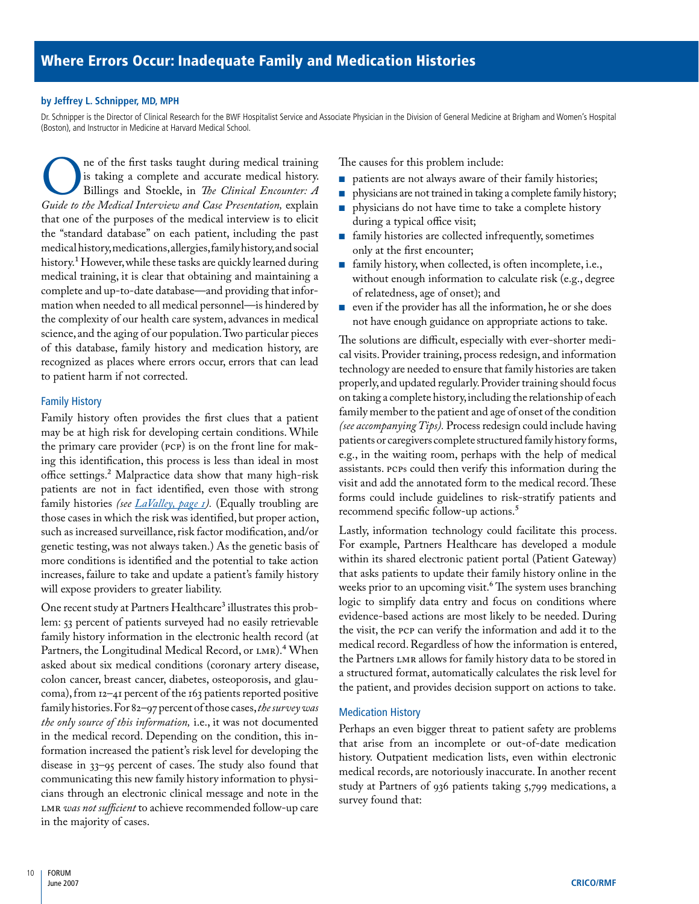## <span id="page-11-0"></span>**by Jeffrey L. Schnipper, MD, MPH**

Dr. Schnipper is the Director of Clinical Research for the BWF Hospitalist Service and Associate Physician in the Division of General Medicine at Brigham and Women's Hospital (Boston), and Instructor in Medicine at Harvard Medical School.

The of the first tasks taught during medical training<br>is taking a complete and accurate medical history.<br>Billings and Stoekle, in *The Clinical Encounter: A*<br>Guide to the Medical Interview and Case Presentation, explain is taking a complete and accurate medical history. Billings and Stoekle, in *The Clinical Encounter: A Guide to the Medical Interview and Case Presentation,* explain that one of the purposes of the medical interview is to elicit the "standard database" on each patient, including the past medical history, medications, allergies, family history, and social history.<sup>1</sup> However, while these tasks are quickly learned during medical training, it is clear that obtaining and maintaining a complete and up-to-date database—and providing that information when needed to all medical personnel—is hindered by the complexity of our health care system, advances in medical science, and the aging of our population. Two particular pieces of this database, family history and medication history, are recognized as places where errors occur, errors that can lead to patient harm if not corrected.

# Family History

Family history often provides the first clues that a patient may be at high risk for developing certain conditions. While the primary care provider (PCP) is on the front line for making this identification, this process is less than ideal in most office settings.2 Malpractice data show that many high-risk patients are not in fact identified, even those with strong family histories *(see [LaValley, page 1\)](#page-2-0).* (Equally troubling are those cases in which the risk was identified, but proper action, such as increased surveillance, risk factor modification, and/or genetic testing, was not always taken.) As the genetic basis of more conditions is identified and the potential to take action increases, failure to take and update a patient's family history will expose providers to greater liability.

One recent study at Partners Healthcare<sup>3</sup> illustrates this problem: 53 percent of patients surveyed had no easily retrievable family history information in the electronic health record (at Partners, the Longitudinal Medical Record, or LMR).<sup>4</sup> When asked about six medical conditions (coronary artery disease, colon cancer, breast cancer, diabetes, osteoporosis, and glaucoma), from 12–41 percent of the 163 patients reported positive family histories. For 82–97 percent of those cases, *the survey was the only source of this information,* i.e., it was not documented in the medical record. Depending on the condition, this information increased the patient's risk level for developing the disease in 33–95 percent of cases. The study also found that communicating this new family history information to physicians through an electronic clinical message and note in the LMR *was not sufficient* to achieve recommended follow-up care in the majority of cases.

The causes for this problem include:

- patients are not always aware of their family histories;
- physicians are not trained in taking a complete family history;
- physicians do not have time to take a complete history during a typical office visit;
- family histories are collected infrequently, sometimes only at the first encounter;
- family history, when collected, is often incomplete, i.e., without enough information to calculate risk (e.g., degree of relatedness, age of onset); and
- even if the provider has all the information, he or she does not have enough guidance on appropriate actions to take.

The solutions are difficult, especially with ever-shorter medical visits. Provider training, process redesign, and information technology are needed to ensure that family histories are taken properly, and updated regularly. Provider training should focus on taking a complete history, including the relationship of each family member to the patient and age of onset of the condition *(see accompanying Tips).* Process redesign could include having patients or caregivers complete structured family history forms, e.g., in the waiting room, perhaps with the help of medical assistants. PCPs could then verify this information during the visit and add the annotated form to the medical record. These forms could include guidelines to risk-stratify patients and recommend specific follow-up actions.<sup>5</sup>

Lastly, information technology could facilitate this process. For example, Partners Healthcare has developed a module within its shared electronic patient portal (Patient Gateway) that asks patients to update their family history online in the weeks prior to an upcoming visit.<sup>6</sup> The system uses branching logic to simplify data entry and focus on conditions where evidence-based actions are most likely to be needed. During the visit, the PCP can verify the information and add it to the medical record. Regardless of how the information is entered, the Partners LMR allows for family history data to be stored in a structured format, automatically calculates the risk level for the patient, and provides decision support on actions to take.

# Medication History

Perhaps an even bigger threat to patient safety are problems that arise from an incomplete or out-of-date medication history. Outpatient medication lists, even within electronic medical records, are notoriously inaccurate. In another recent study at Partners of 936 patients taking 5,799 medications, a survey found that: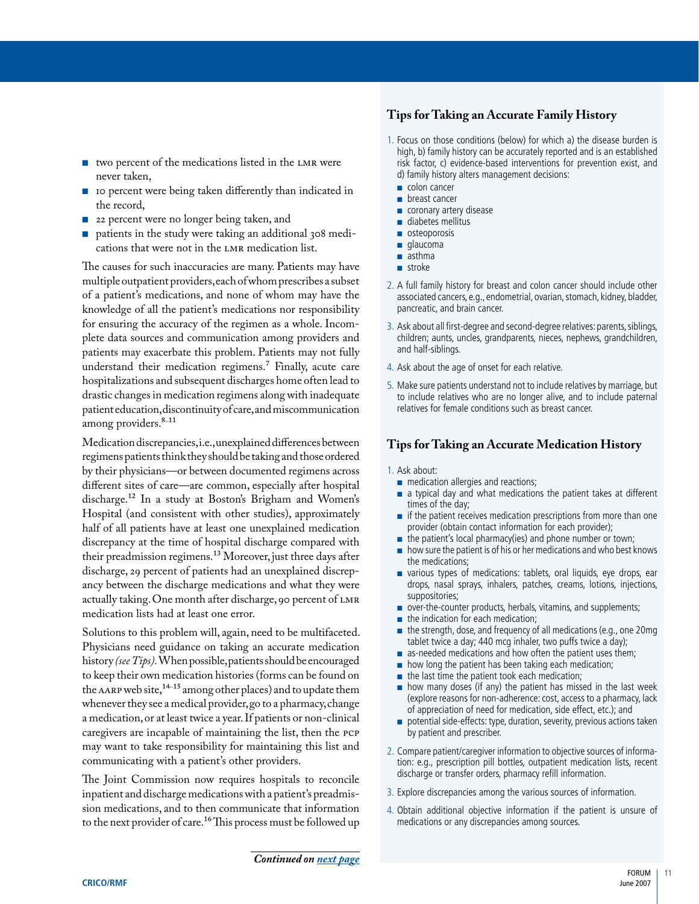- <span id="page-12-0"></span>■ two percent of the medications listed in the LMR were never taken,
- 10 percent were being taken differently than indicated in the record,
- 22 percent were no longer being taken, and
- patients in the study were taking an additional 308 medications that were not in the LMR medication list.

The causes for such inaccuracies are many. Patients may have multiple outpatient providers, each of whom prescribes a subset of a patient's medications, and none of whom may have the knowledge of all the patient's medications nor responsibility for ensuring the accuracy of the regimen as a whole. Incomplete data sources and communication among providers and patients may exacerbate this problem. Patients may not fully understand their medication regimens.<sup>7</sup> Finally, acute care hospitalizations and subsequent discharges home often lead to drastic changes in medication regimens along with inadequate patient education, discontinuity of care, and miscommunication among providers.<sup>8-11</sup>

Medication discrepancies, i.e., unexplained differences between regimens patients think they should be taking and those ordered by their physicians—or between documented regimens across different sites of care—are common, especially after hospital discharge.12 In a study at Boston's Brigham and Women's Hospital (and consistent with other studies), approximately half of all patients have at least one unexplained medication discrepancy at the time of hospital discharge compared with their preadmission regimens.13 Moreover, just three days after discharge, 29 percent of patients had an unexplained discrepancy between the discharge medications and what they were actually taking. One month after discharge, 90 percent of LMR medication lists had at least one error.

Solutions to this problem will, again, need to be multifaceted. Physicians need guidance on taking an accurate medication history *(see Tips).* When possible, patients should be encouraged to keep their own medication histories (forms can be found on the AARP web site,<sup>14–15</sup> among other places) and to update them whenever they see a medical provider, go to a pharmacy, change a medication, or at least twice a year. If patients or non-clinical caregivers are incapable of maintaining the list, then the PCP may want to take responsibility for maintaining this list and communicating with a patient's other providers.

The Joint Commission now requires hospitals to reconcile inpatient and discharge medications with a patient's preadmission medications, and to then communicate that information to the next provider of care.<sup>16</sup> This process must be followed up

# **Tips for Taking an Accurate Family History**

- 1. Focus on those conditions (below) for which a) the disease burden is high, b) family history can be accurately reported and is an established risk factor, c) evidence-based interventions for prevention exist, and d) family history alters management decisions:
	- colon cancer
	- breast cancer
	- coronary artery disease
	- diabetes mellitus
	- osteoporosis
	- glaucoma
	- asthma
	- stroke
- 2. A full family history for breast and colon cancer should include other associated cancers, e.g., endometrial, ovarian, stomach, kidney, bladder, pancreatic, and brain cancer.
- 3. Ask about all first-degree and second-degree relatives: parents, siblings, children; aunts, uncles, grandparents, nieces, nephews, grandchildren, and half-siblings.
- 4. Ask about the age of onset for each relative.
- 5. Make sure patients understand not to include relatives by marriage, but to include relatives who are no longer alive, and to include paternal relatives for female conditions such as breast cancer.

# **Tips for Taking an Accurate Medication History**

#### 1. Ask about:

- medication allergies and reactions;
- a typical day and what medications the patient takes at different times of the day;
- $\blacksquare$  if the patient receives medication prescriptions from more than one provider (obtain contact information for each provider);
- the patient's local pharmacy(ies) and phone number or town;
- how sure the patient is of his or her medications and who best knows the medications;
- various types of medications: tablets, oral liquids, eye drops, ear drops, nasal sprays, inhalers, patches, creams, lotions, injections, suppositories;
- over-the-counter products, herbals, vitamins, and supplements;
- the indication for each medication;
- the strength, dose, and frequency of all medications (e.g., one 20mg tablet twice a day; 440 mcg inhaler, two puffs twice a day);
- as-needed medications and how often the patient uses them;
- how long the patient has been taking each medication;
- the last time the patient took each medication;
- $\blacksquare$  how many doses (if any) the patient has missed in the last week (explore reasons for non-adherence: cost, access to a pharmacy, lack of appreciation of need for medication, side effect, etc.); and
- potential side-effects: type, duration, severity, previous actions taken by patient and prescriber.
- 2. Compare patient/caregiver information to objective sources of information: e.g., prescription pill bottles, outpatient medication lists, recent discharge or transfer orders, pharmacy refill information.
- 3. Explore discrepancies among the various sources of information.
- 4. Obtain additional objective information if the patient is unsure of medications or any discrepancies among sources.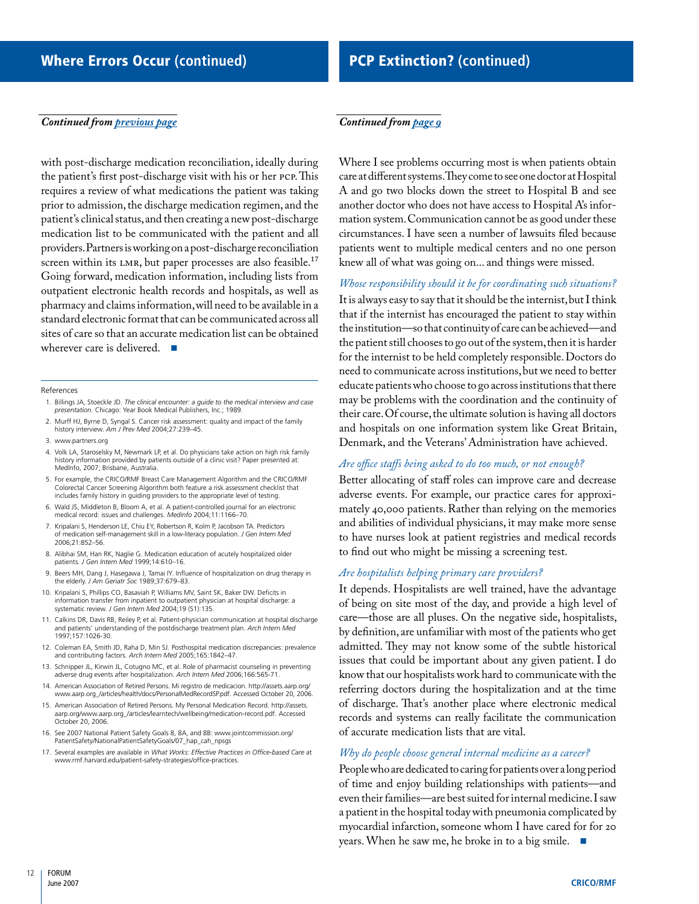#### <span id="page-13-0"></span>*Continued from [previous page](#page-12-0)*

with post-discharge medication reconciliation, ideally during the patient's first post-discharge visit with his or her PCP. This requires a review of what medications the patient was taking prior to admission, the discharge medication regimen, and the patient's clinical status, and then creating a new post-discharge medication list to be communicated with the patient and all providers. Partners is working on a post-discharge reconciliation screen within its LMR, but paper processes are also feasible.<sup>17</sup> Going forward, medication information, including lists from outpatient electronic health records and hospitals, as well as pharmacy and claims information, will need to be available in a standard electronic format that can be communicated across all sites of care so that an accurate medication list can be obtained wherever care is delivered. ■

#### References

- 1. Billings JA, Stoeckle JD. *The clinical encounter: a guide to the medical interview and case presentation.* Chicago: Year Book Medical Publishers, Inc.; 1989.
- 2. Murff HJ, Byrne D, Syngal S. Cancer risk assessment: quality and impact of the family history interview. *Am J Prev Med* 2004;27:239–45.
- 3. www.partners.org
- 4. Volk LA, Staroselsky M, Newmark LP, et al. Do physicians take action on high risk family history information provided by patients outside of a clinic visit? Paper presented at: MedInfo, 2007; Brisbane, Australia.
- 5. For example, the CRICO/RMF Breast Care Management Algorithm and the CRICO/RMF Colorectal Cancer Screening Algorithm both feature a risk assessment checklist that includes family history in guiding providers to the appropriate level of testing.
- 6. Wald JS, Middleton B, Bloom A, et al. A patient-controlled journal for an electronic medical record: issues and challenges. *Medinfo* 2004;11:1166–70.
- 7. Kripalani S, Henderson LE, Chiu EY, Robertson R, Kolm P, Jacobson TA. Predictors of medication self-management skill in a low-literacy population. *J Gen Intern Med* 2006;21:852–56.
- 8. Alibhai SM, Han RK, Naglie G. Medication education of acutely hospitalized older patients. *J Gen Intern Med* 1999;14:610–16.
- 9. Beers MH, Dang J, Hasegawa J, Tamai IY. Influence of hospitalization on drug therapy in the elderly. *J Am Geriatr Soc* 1989;37:679–83.
- 10. Kripalani S, Phillips CO, Basaviah P, Williams MV, Saint SK, Baker DW. Deficits in information transfer from inpatient to outpatient physician at hospital discharge: a systematic review. *J Gen Intern Med* 2004;19 (S1):135.
- 11. Calkins DR, Davis RB, Reiley P, et al. Patient-physician communication at hospital discharge and patients' understanding of the postdischarge treatment plan. *Arch Intern Med* 1997;157:1026-30.
- 12. Coleman EA, Smith JD, Raha D, Min SJ. Posthospital medication discrepancies: prevalence and contributing factors. *Arch Intern Med* 2005;165:1842–47.
- 13. Schnipper JL, Kirwin JL, Cotugno MC, et al. Role of pharmacist counseling in preventing adverse drug events after hospitalization. *Arch Intern Med* 2006;166:565-71.
- 14. American Association of Retired Persons. Mi registro de medicacion. http://assets.aarp.org/ www.aarp.org\_/articles/health/docs/PersonalMedRecordSP.pdf. Accessed October 20, 2006.
- 15. American Association of Retired Persons. My Personal Medication Record. http://assets. aarp.org/www.aarp.org\_/articles/learntech/wellbeing/medication-record.pdf. Accessed October 20, 2006.
- 16. See 2007 National Patient Safety Goals 8, 8A, and 8B: www.jointcommission.org/ PatientSafety/NationalPatientSafetyGoals/07\_hap\_cah\_npsgs
- 17. Several examples are available in *What Works: Effective Practices in Office-based Care* at www.rmf.harvard.edu/patient-safety-strategies/office-practices.

# *Continued from [page 9](#page-10-0)*

Where I see problems occurring most is when patients obtain care at different systems. They come to see one doctor at Hospital A and go two blocks down the street to Hospital B and see another doctor who does not have access to Hospital A's information system. Communication cannot be as good under these circumstances. I have seen a number of lawsuits filed because patients went to multiple medical centers and no one person knew all of what was going on... and things were missed.

*Whose responsibility should it be for coordinating such situations?* It is always easy to say that it should be the internist, but I think that if the internist has encouraged the patient to stay within the institution—so that continuity of care can be achieved—and the patient still chooses to go out of the system, then it is harder for the internist to be held completely responsible. Doctors do need to communicate across institutions, but we need to better educate patients who choose to go across institutions that there may be problems with the coordination and the continuity of their care. Of course, the ultimate solution is having all doctors and hospitals on one information system like Great Britain, Denmark, and the Veterans' Administration have achieved.

# *Are office staffs being asked to do too much, or not enough?*

Better allocating of staff roles can improve care and decrease adverse events. For example, our practice cares for approximately 40,000 patients. Rather than relying on the memories and abilities of individual physicians, it may make more sense to have nurses look at patient registries and medical records to find out who might be missing a screening test.

# *Are hospitalists helping primary care providers?*

It depends. Hospitalists are well trained, have the advantage of being on site most of the day, and provide a high level of care—those are all pluses. On the negative side, hospitalists, by definition, are unfamiliar with most of the patients who get admitted. They may not know some of the subtle historical issues that could be important about any given patient. I do know that our hospitalists work hard to communicate with the referring doctors during the hospitalization and at the time of discharge. That's another place where electronic medical records and systems can really facilitate the communication of accurate medication lists that are vital.

# *Why do people choose general internal medicine as a career?*

People who are dedicated to caring for patients over a long period of time and enjoy building relationships with patients—and even their families—are best suited for internal medicine. I saw a patient in the hospital today with pneumonia complicated by myocardial infarction, someone whom I have cared for for 20 years. When he saw me, he broke in to a big smile. ■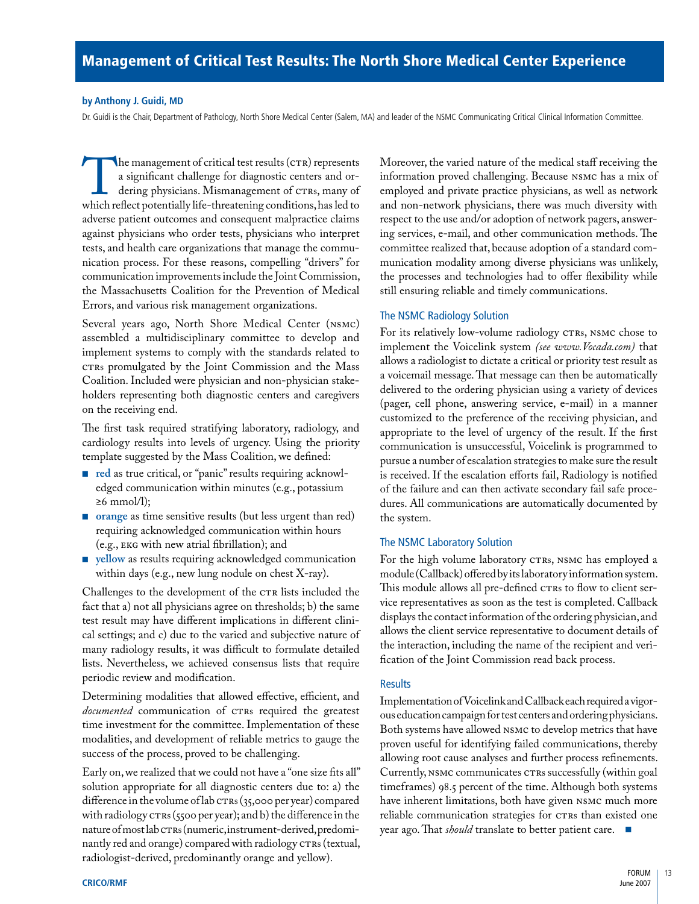#### <span id="page-14-0"></span>**by Anthony J. Guidi, MD**

Dr. Guidi is the Chair, Department of Pathology, North Shore Medical Center (Salem, MA) and leader of the NSMC Communicating Critical Clinical Information Committee.

The management of critical test results (CTR) represents<br>a significant challenge for diagnostic centers and or-<br>dering physicians. Mismanagement of CTRs, many of<br>which reflect potentially life-threatening conditions, has l a significant challenge for diagnostic centers and ordering physicians. Mismanagement of CTRs, many of adverse patient outcomes and consequent malpractice claims against physicians who order tests, physicians who interpret tests, and health care organizations that manage the communication process. For these reasons, compelling "drivers" for communication improvements include the Joint Commission, the Massachusetts Coalition for the Prevention of Medical Errors, and various risk management organizations.

Several years ago, North Shore Medical Center (NSMC) assembled a multidisciplinary committee to develop and implement systems to comply with the standards related to CTRs promulgated by the Joint Commission and the Mass Coalition. Included were physician and non-physician stakeholders representing both diagnostic centers and caregivers on the receiving end.

The first task required stratifying laboratory, radiology, and cardiology results into levels of urgency. Using the priority template suggested by the Mass Coalition, we defined:

- **red** as true critical, or "panic" results requiring acknowledged communication within minutes (e.g., potassium  $≥6$  mmol/1);
- **orange** as time sensitive results (but less urgent than red) requiring acknowledged communication within hours (e.g., EKG with new atrial fibrillation); and
- **yellow** as results requiring acknowledged communication within days (e.g., new lung nodule on chest X-ray).

Challenges to the development of the CTR lists included the fact that a) not all physicians agree on thresholds; b) the same test result may have different implications in different clinical settings; and c) due to the varied and subjective nature of many radiology results, it was difficult to formulate detailed lists. Nevertheless, we achieved consensus lists that require periodic review and modification.

Determining modalities that allowed effective, efficient, and *documented* communication of CTRs required the greatest time investment for the committee. Implementation of these modalities, and development of reliable metrics to gauge the success of the process, proved to be challenging.

Early on, we realized that we could not have a "one size fits all" solution appropriate for all diagnostic centers due to: a) the difference in the volume of lab CTRs (35,000 per year) compared with radiology CTRs (5500 per year); and b) the difference in the nature of most lab CTRs (numeric, instrument-derived, predominantly red and orange) compared with radiology CTRs (textual, radiologist-derived, predominantly orange and yellow).

Moreover, the varied nature of the medical staff receiving the information proved challenging. Because NSMC has a mix of employed and private practice physicians, as well as network and non-network physicians, there was much diversity with respect to the use and/or adoption of network pagers, answering services, e-mail, and other communication methods. The committee realized that, because adoption of a standard communication modality among diverse physicians was unlikely, the processes and technologies had to offer flexibility while still ensuring reliable and timely communications.

# The NSMC Radiology Solution

For its relatively low-volume radiology CTRs, NSMC chose to implement the Voicelink system *(see www.Vocada.com)* that allows a radiologist to dictate a critical or priority test result as a voicemail message. That message can then be automatically delivered to the ordering physician using a variety of devices (pager, cell phone, answering service, e-mail) in a manner customized to the preference of the receiving physician, and appropriate to the level of urgency of the result. If the first communication is unsuccessful, Voicelink is programmed to pursue a number of escalation strategies to make sure the result is received. If the escalation efforts fail, Radiology is notified of the failure and can then activate secondary fail safe procedures. All communications are automatically documented by the system.

#### The NSMC Laboratory Solution

For the high volume laboratory CTRs, NSMC has employed a module (Callback) offered by its laboratory information system. This module allows all pre-defined CTRs to flow to client service representatives as soon as the test is completed. Callback displays the contact information of the ordering physician, and allows the client service representative to document details of the interaction, including the name of the recipient and verification of the Joint Commission read back process.

# **Results**

Implementation of Voicelink and Callback each required a vigorous education campaign for test centers and ordering physicians. Both systems have allowed NSMC to develop metrics that have proven useful for identifying failed communications, thereby allowing root cause analyses and further process refinements. Currently, NSMC communicates CTRs successfully (within goal timeframes) 98.5 percent of the time. Although both systems have inherent limitations, both have given NSMC much more reliable communication strategies for CTRs than existed one year ago. That *should* translate to better patient care. ■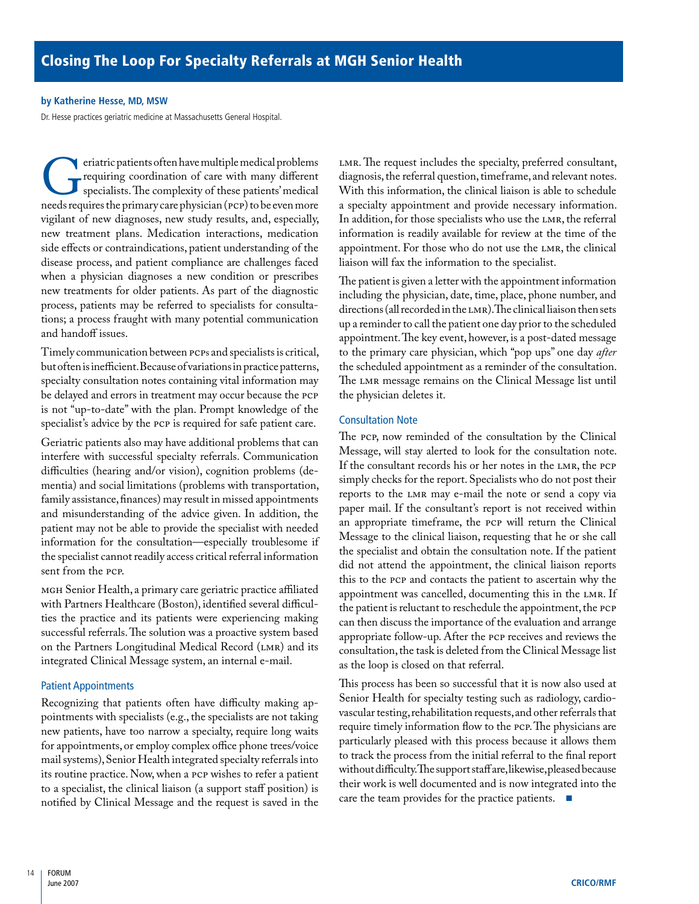#### <span id="page-15-0"></span>**by Katherine Hesse, MD, MSW**

Dr. Hesse practices geriatric medicine at Massachusetts General Hospital.

eriatric patients often have multiple medical problems<br>requiring coordination of care with many different<br>specialists. The complexity of these patients' medical<br>needs requires the primary care physician (PCP) to be even mo requiring coordination of care with many different specialists. The complexity of these patients' medical needs requires the primary care physician (PCP) to be even more vigilant of new diagnoses, new study results, and, especially, new treatment plans. Medication interactions, medication side effects or contraindications, patient understanding of the disease process, and patient compliance are challenges faced when a physician diagnoses a new condition or prescribes new treatments for older patients. As part of the diagnostic process, patients may be referred to specialists for consultations; a process fraught with many potential communication and handoff issues.

Timely communication between PCPs and specialists is critical, but often is inefficient. Because of variations in practice patterns, specialty consultation notes containing vital information may be delayed and errors in treatment may occur because the PCP is not "up-to-date" with the plan. Prompt knowledge of the specialist's advice by the PCP is required for safe patient care.

Geriatric patients also may have additional problems that can interfere with successful specialty referrals. Communication difficulties (hearing and/or vision), cognition problems (dementia) and social limitations (problems with transportation, family assistance, finances) may result in missed appointments and misunderstanding of the advice given. In addition, the patient may not be able to provide the specialist with needed information for the consultation—especially troublesome if the specialist cannot readily access critical referral information sent from the PCP.

MGH Senior Health, a primary care geriatric practice affiliated with Partners Healthcare (Boston), identified several difficulties the practice and its patients were experiencing making successful referrals. The solution was a proactive system based on the Partners Longitudinal Medical Record (LMR) and its integrated Clinical Message system, an internal e-mail.

# Patient Appointments

Recognizing that patients often have difficulty making appointments with specialists (e.g., the specialists are not taking new patients, have too narrow a specialty, require long waits for appointments, or employ complex office phone trees/voice mail systems), Senior Health integrated specialty referrals into its routine practice. Now, when a PCP wishes to refer a patient to a specialist, the clinical liaison (a support staff position) is notified by Clinical Message and the request is saved in the

LMR. The request includes the specialty, preferred consultant, diagnosis, the referral question, timeframe, and relevant notes. With this information, the clinical liaison is able to schedule a specialty appointment and provide necessary information. In addition, for those specialists who use the LMR, the referral information is readily available for review at the time of the appointment. For those who do not use the LMR, the clinical liaison will fax the information to the specialist.

The patient is given a letter with the appointment information including the physician, date, time, place, phone number, and directions (all recorded in the LMR). The clinical liaison then sets up a reminder to call the patient one day prior to the scheduled appointment. The key event, however, is a post-dated message to the primary care physician, which "pop ups" one day *after* the scheduled appointment as a reminder of the consultation. The LMR message remains on the Clinical Message list until the physician deletes it.

# Consultation Note

The PCP, now reminded of the consultation by the Clinical Message, will stay alerted to look for the consultation note. If the consultant records his or her notes in the LMR, the PCP simply checks for the report. Specialists who do not post their reports to the LMR may e-mail the note or send a copy via paper mail. If the consultant's report is not received within an appropriate timeframe, the PCP will return the Clinical Message to the clinical liaison, requesting that he or she call the specialist and obtain the consultation note. If the patient did not attend the appointment, the clinical liaison reports this to the PCP and contacts the patient to ascertain why the appointment was cancelled, documenting this in the LMR. If the patient is reluctant to reschedule the appointment, the PCP can then discuss the importance of the evaluation and arrange appropriate follow-up. After the PCP receives and reviews the consultation, the task is deleted from the Clinical Message list as the loop is closed on that referral.

This process has been so successful that it is now also used at Senior Health for specialty testing such as radiology, cardiovascular testing, rehabilitation requests, and other referrals that require timely information flow to the PCP. The physicians are particularly pleased with this process because it allows them to track the process from the initial referral to the final report without difficulty. The support staff are, likewise, pleased because their work is well documented and is now integrated into the care the team provides for the practice patients. ■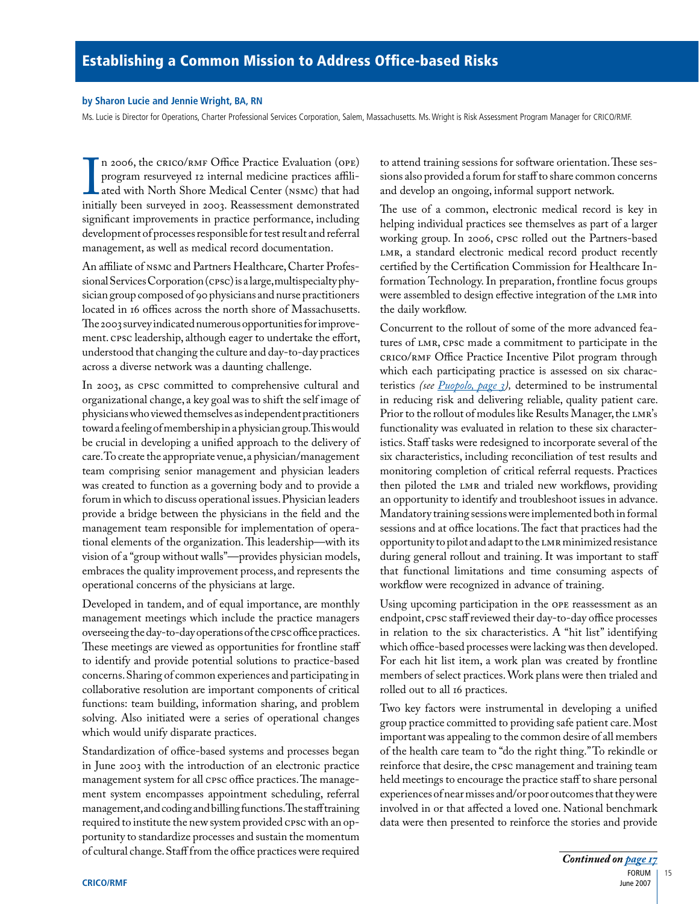# <span id="page-16-0"></span>**by Sharon Lucie and Jennie Wright, BA, RN**

Ms. Lucie is Director for Operations, Charter Professional Services Corporation, Salem, Massachusetts. Ms. Wright is Risk Assessment Program Manager for CRICO/RMF.

I 2000, the extent of Orle 1 ractice Evaluation (Orle)<br>program resurveyed 12 internal medicine practices affili-<br>ated with North Shore Medical Center (NSMC) that had<br>initially been surveyed in 2003. Reassessment demonstrat n 2006, the CRICO/RMF Office Practice Evaluation (OPE) program resurveyed 12 internal medicine practices affiliated with North Shore Medical Center (NSMC) that had significant improvements in practice performance, including development of processes responsible for test result and referral management, as well as medical record documentation.

An affiliate of NSMC and Partners Healthcare, Charter Professional Services Corporation (CPSC) is a large, multispecialty physician group composed of 90 physicians and nurse practitioners located in 16 offices across the north shore of Massachusetts. The 2003 survey indicated numerous opportunities for improvement. CPSC leadership, although eager to undertake the effort, understood that changing the culture and day-to-day practices across a diverse network was a daunting challenge.

In 2003, as CPSC committed to comprehensive cultural and organizational change, a key goal was to shift the self image of physicians who viewed themselves as independent practitioners toward a feeling of membership in a physician group. This would be crucial in developing a unified approach to the delivery of care. To create the appropriate venue, a physician/management team comprising senior management and physician leaders was created to function as a governing body and to provide a forum in which to discuss operational issues. Physician leaders provide a bridge between the physicians in the field and the management team responsible for implementation of operational elements of the organization. This leadership—with its vision of a "group without walls"—provides physician models, embraces the quality improvement process, and represents the operational concerns of the physicians at large.

Developed in tandem, and of equal importance, are monthly management meetings which include the practice managers overseeing the day-to-day operations of the CPSC office practices. These meetings are viewed as opportunities for frontline staff to identify and provide potential solutions to practice-based concerns. Sharing of common experiences and participating in collaborative resolution are important components of critical functions: team building, information sharing, and problem solving. Also initiated were a series of operational changes which would unify disparate practices.

Standardization of office-based systems and processes began in June 2003 with the introduction of an electronic practice management system for all CPSC office practices. The management system encompasses appointment scheduling, referral management, and coding and billing functions. The staff training required to institute the new system provided CPSC with an opportunity to standardize processes and sustain the momentum of cultural change. Staff from the office practices were required

to attend training sessions for software orientation. These sessions also provided a forum for staff to share common concerns and develop an ongoing, informal support network.

The use of a common, electronic medical record is key in helping individual practices see themselves as part of a larger working group. In 2006, CPSC rolled out the Partners-based LMR, a standard electronic medical record product recently certified by the Certification Commission for Healthcare Information Technology. In preparation, frontline focus groups were assembled to design effective integration of the LMR into the daily workflow.

Concurrent to the rollout of some of the more advanced features of LMR, CPSC made a commitment to participate in the CRICO/RMF Office Practice Incentive Pilot program through which each participating practice is assessed on six characteristics *(see [Puopolo, page 3](#page-4-0)),* determined to be instrumental in reducing risk and delivering reliable, quality patient care. Prior to the rollout of modules like Results Manager, the LMR's functionality was evaluated in relation to these six characteristics. Staff tasks were redesigned to incorporate several of the six characteristics, including reconciliation of test results and monitoring completion of critical referral requests. Practices then piloted the LMR and trialed new workflows, providing an opportunity to identify and troubleshoot issues in advance. Mandatory training sessions were implemented both in formal sessions and at office locations. The fact that practices had the opportunity to pilot and adapt to the LMR minimized resistance during general rollout and training. It was important to staff that functional limitations and time consuming aspects of workflow were recognized in advance of training.

Using upcoming participation in the OPE reassessment as an endpoint, CPSC staff reviewed their day-to-day office processes in relation to the six characteristics. A "hit list" identifying which office-based processes were lacking was then developed. For each hit list item, a work plan was created by frontline members of select practices. Work plans were then trialed and rolled out to all 16 practices.

Two key factors were instrumental in developing a unified group practice committed to providing safe patient care. Most important was appealing to the common desire of all members of the health care team to "do the right thing." To rekindle or reinforce that desire, the CPSC management and training team held meetings to encourage the practice staff to share personal experiences of near misses and/or poor outcomes that they were involved in or that affected a loved one. National benchmark data were then presented to reinforce the stories and provide

15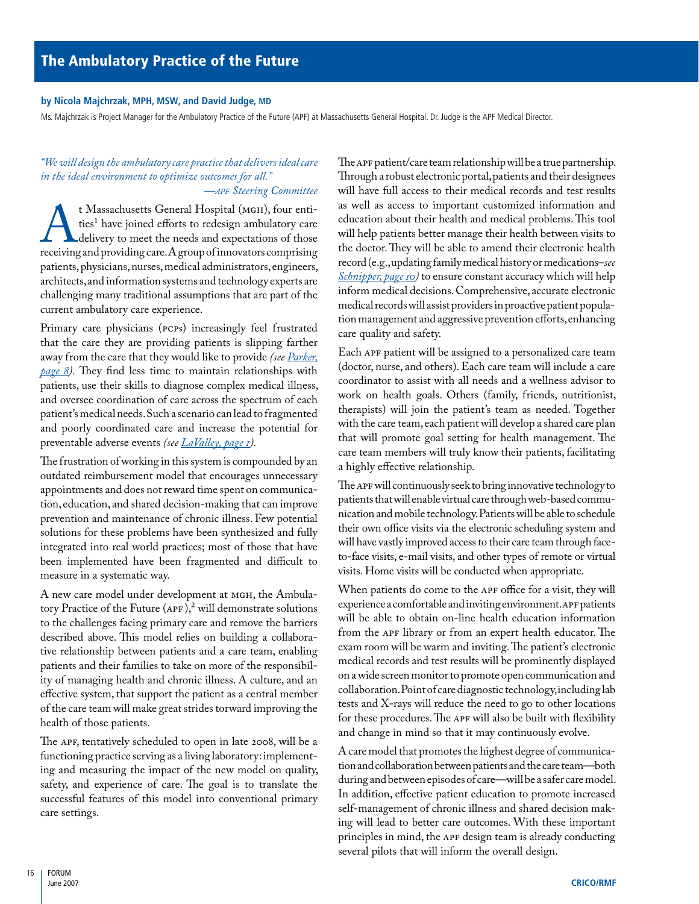### <span id="page-17-0"></span>**by Nicola Majchrzak, MPH, MSW, and David Judge, MD**

Ms. Majchrzak is Project Manager for the Ambulatory Practice of the Future (APF) at Massachusetts General Hospital. Dr. Judge is the APF Medical Director.

# *"We will design the ambulatory care practice that delivers ideal care in the ideal environment to optimize outcomes for all." —apf Steering Committee*

<sup>t</sup> Massachusetts General Hospital (MGH), four entities<sup>1</sup> have joined efforts to redesign ambulatory care delivery to meet the needs and expectations of those receiving and providing care. A group of innovators comprising ties<sup>1</sup> have joined efforts to redesign ambulatory care delivery to meet the needs and expectations of those receiving and providing care. A group of innovators comprising patients, physicians, nurses, medical administrators, engineers, architects, and information systems and technology experts are challenging many traditional assumptions that are part of the current ambulatory care experience.

Primary care physicians (PCPs) increasingly feel frustrated that the care they are providing patients is slipping farther away from the care that they would like to provide *(see [Parker,](#page-9-0) [page 8](#page-9-0)).* They find less time to maintain relationships with patients, use their skills to diagnose complex medical illness, and oversee coordination of care across the spectrum of each patient's medical needs. Such a scenario can lead to fragmented and poorly coordinated care and increase the potential for preventable adverse events *(see [LaValley, page 1\)](#page-2-0).*

The frustration of working in this system is compounded by an outdated reimbursement model that encourages unnecessary appointments and does not reward time spent on communication, education, and shared decision-making that can improve prevention and maintenance of chronic illness. Few potential solutions for these problems have been synthesized and fully integrated into real world practices; most of those that have been implemented have been fragmented and difficult to measure in a systematic way.

A new care model under development at MGH, the Ambulatory Practice of the Future  $(APF)$ ,<sup>2</sup> will demonstrate solutions to the challenges facing primary care and remove the barriers described above. This model relies on building a collaborative relationship between patients and a care team, enabling patients and their families to take on more of the responsibility of managing health and chronic illness. A culture, and an effective system, that support the patient as a central member of the care team will make great strides torward improving the health of those patients.

The APF, tentatively scheduled to open in late 2008, will be a functioning practice serving as a living laboratory: implementing and measuring the impact of the new model on quality, safety, and experience of care. The goal is to translate the successful features of this model into conventional primary care settings.

The APF patient/care team relationship will be a true partnership. Through a robust electronic portal, patients and their designees will have full access to their medical records and test results as well as access to important customized information and education about their health and medical problems. This tool will help patients better manage their health between visits to the doctor. They will be able to amend their electronic health record (e.g., updating family medical history or medications–*see [Schnipper, page 10\)](#page-11-0)* to ensure constant accuracy which will help inform medical decisions. Comprehensive, accurate electronic medical records will assist providers in proactive patient population management and aggressive prevention efforts, enhancing care quality and safety.

Each APF patient will be assigned to a personalized care team (doctor, nurse, and others). Each care team will include a care coordinator to assist with all needs and a wellness advisor to work on health goals. Others (family, friends, nutritionist, therapists) will join the patient's team as needed. Together with the care team, each patient will develop a shared care plan that will promote goal setting for health management. The care team members will truly know their patients, facilitating a highly effective relationship.

The APF will continuously seek to bring innovative technology to patients that will enable virtual care through web-based communication and mobile technology. Patients will be able to schedule their own office visits via the electronic scheduling system and will have vastly improved access to their care team through faceto-face visits, e-mail visits, and other types of remote or virtual visits. Home visits will be conducted when appropriate.

When patients do come to the APF office for a visit, they will experience a comfortable and inviting environment. APF patients will be able to obtain on-line health education information from the APF library or from an expert health educator. The exam room will be warm and inviting. The patient's electronic medical records and test results will be prominently displayed on a wide screen monitor to promote open communication and collaboration. Point of care diagnostic technology, including lab tests and X-rays will reduce the need to go to other locations for these procedures. The APF will also be built with flexibility and change in mind so that it may continuously evolve.

A care model that promotes the highest degree of communication and collaboration between patients and the care team—both during and between episodes of care—will be a safer care model. In addition, effective patient education to promote increased self-management of chronic illness and shared decision making will lead to better care outcomes. With these important principles in mind, the APF design team is already conducting several pilots that will inform the overall design.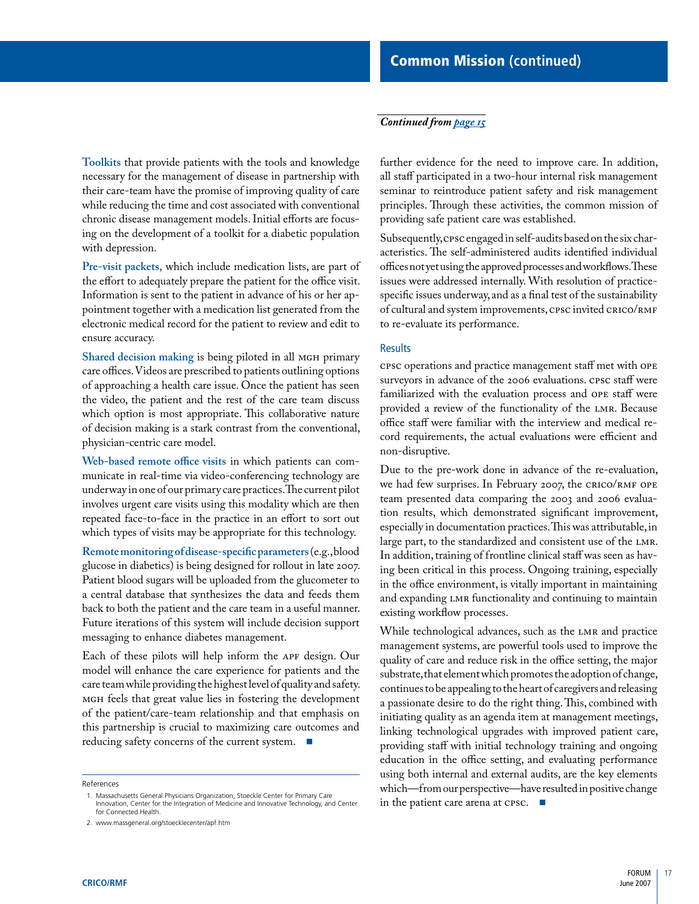#### <span id="page-18-0"></span>*Continued from [page 15](#page-16-0)*

**Toolkits** that provide patients with the tools and knowledge necessary for the management of disease in partnership with their care-team have the promise of improving quality of care while reducing the time and cost associated with conventional chronic disease management models. Initial efforts are focusing on the development of a toolkit for a diabetic population with depression.

**Pre-visit packets,** which include medication lists, are part of the effort to adequately prepare the patient for the office visit. Information is sent to the patient in advance of his or her appointment together with a medication list generated from the electronic medical record for the patient to review and edit to ensure accuracy.

Shared decision making is being piloted in all MGH primary care offices. Videos are prescribed to patients outlining options of approaching a health care issue. Once the patient has seen the video, the patient and the rest of the care team discuss which option is most appropriate. This collaborative nature of decision making is a stark contrast from the conventional, physician-centric care model.

**Web-based remote office visits** in which patients can communicate in real-time via video-conferencing technology are underway in one of our primary care practices. The current pilot involves urgent care visits using this modality which are then repeated face-to-face in the practice in an effort to sort out which types of visits may be appropriate for this technology.

**Remote monitoring of disease-specific parameters** (e.g., blood glucose in diabetics) is being designed for rollout in late 2007. Patient blood sugars will be uploaded from the glucometer to a central database that synthesizes the data and feeds them back to both the patient and the care team in a useful manner. Future iterations of this system will include decision support messaging to enhance diabetes management.

Each of these pilots will help inform the APF design. Our model will enhance the care experience for patients and the care team while providing the highest level of quality and safety. MGH feels that great value lies in fostering the development of the patient/care-team relationship and that emphasis on this partnership is crucial to maximizing care outcomes and reducing safety concerns of the current system. ■

References

further evidence for the need to improve care. In addition, all staff participated in a two-hour internal risk management seminar to reintroduce patient safety and risk management principles. Through these activities, the common mission of providing safe patient care was established.

Subsequently, CPSC engaged in self-audits based on the six characteristics. The self-administered audits identified individual offices not yet using the approved processes and workflows. These issues were addressed internally. With resolution of practicespecific issues underway, and as a final test of the sustainability of cultural and system improvements, CPSC invited CRICO/RMF to re-evaluate its performance.

#### **Results**

CPSC operations and practice management staff met with OPE surveyors in advance of the 2006 evaluations. CPSC staff were familiarized with the evaluation process and OPE staff were provided a review of the functionality of the LMR. Because office staff were familiar with the interview and medical record requirements, the actual evaluations were efficient and non-disruptive.

Due to the pre-work done in advance of the re-evaluation, we had few surprises. In February 2007, the CRICO/RMF OPE team presented data comparing the 2003 and 2006 evaluation results, which demonstrated significant improvement, especially in documentation practices. This was attributable, in large part, to the standardized and consistent use of the LMR. In addition, training of frontline clinical staff was seen as having been critical in this process. Ongoing training, especially in the office environment, is vitally important in maintaining and expanding LMR functionality and continuing to maintain existing workflow processes.

While technological advances, such as the LMR and practice management systems, are powerful tools used to improve the quality of care and reduce risk in the office setting, the major substrate, that element which promotes the adoption of change, continues to be appealing to the heart of caregivers and releasing a passionate desire to do the right thing. This, combined with initiating quality as an agenda item at management meetings, linking technological upgrades with improved patient care, providing staff with initial technology training and ongoing education in the office setting, and evaluating performance using both internal and external audits, are the key elements which—from our perspective—have resulted in positive change in the patient care arena at CPSC. ■

<sup>1.</sup> Massachusetts General Physicians Organization, Stoeckle Center for Primary Care Innovation, Center for the Integration of Medicine and Innovative Technology, and Center for Connected Health.

<sup>2.</sup> www.massgeneral.org/stoecklecenter/apf.htm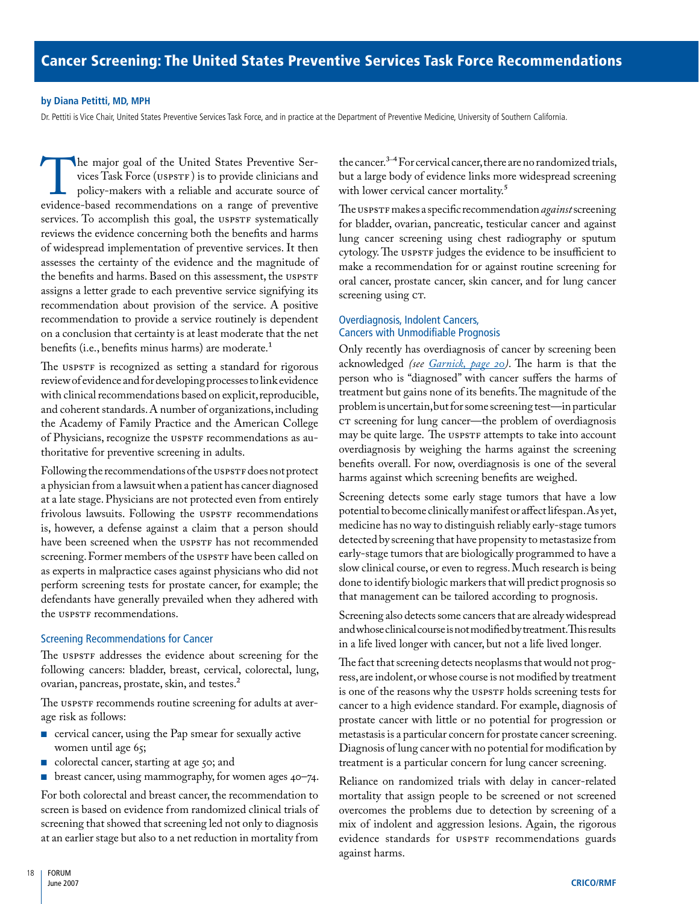#### <span id="page-19-0"></span>**by Diana Petitti, MD, MPH**

Dr. Pettiti is Vice Chair, United States Preventive Services Task Force, and in practice at the Department of Preventive Medicine, University of Southern California.

The major goal of the United States Preventive Services Task Force (USPSTF) is to provide clinicians and policy-makers with a reliable and accurate source of evidence-based recommendations on a range of preventive vices Task Force (USPSTF ) is to provide clinicians and policy-makers with a reliable and accurate source of services. To accomplish this goal, the USPSTF systematically reviews the evidence concerning both the benefits and harms of widespread implementation of preventive services. It then assesses the certainty of the evidence and the magnitude of the benefits and harms. Based on this assessment, the USPSTF assigns a letter grade to each preventive service signifying its recommendation about provision of the service. A positive recommendation to provide a service routinely is dependent on a conclusion that certainty is at least moderate that the net benefits (i.e., benefits minus harms) are moderate.1

The USPSTF is recognized as setting a standard for rigorous review of evidence and for developing processes to link evidence with clinical recommendations based on explicit, reproducible, and coherent standards. A number of organizations, including the Academy of Family Practice and the American College of Physicians, recognize the USPSTF recommendations as authoritative for preventive screening in adults.

Following the recommendations of the USPSTF does not protect a physician from a lawsuit when a patient has cancer diagnosed at a late stage. Physicians are not protected even from entirely frivolous lawsuits. Following the USPSTF recommendations is, however, a defense against a claim that a person should have been screened when the USPSTF has not recommended screening. Former members of the USPSTF have been called on as experts in malpractice cases against physicians who did not perform screening tests for prostate cancer, for example; the defendants have generally prevailed when they adhered with the USPSTF recommendations.

# Screening Recommendations for Cancer

The USPSTF addresses the evidence about screening for the following cancers: bladder, breast, cervical, colorectal, lung, ovarian, pancreas, prostate, skin, and testes.<sup>2</sup>

The USPSTF recommends routine screening for adults at average risk as follows:

- cervical cancer, using the Pap smear for sexually active women until age 65;
- colorectal cancer, starting at age 50; and
- breast cancer, using mammography, for women ages 40–74.

For both colorectal and breast cancer, the recommendation to screen is based on evidence from randomized clinical trials of screening that showed that screening led not only to diagnosis at an earlier stage but also to a net reduction in mortality from

the cancer.3 – 4 For cervical cancer, there are no randomized trials, but a large body of evidence links more widespread screening with lower cervical cancer mortality.<sup>5</sup>

The USPSTF makes a specific recommendation *against* screening for bladder, ovarian, pancreatic, testicular cancer and against lung cancer screening using chest radiography or sputum cytology. The USPSTF judges the evidence to be insufficient to make a recommendation for or against routine screening for oral cancer, prostate cancer, skin cancer, and for lung cancer screening using CT.

# Overdiagnosis, Indolent Cancers, Cancers with Unmodifiable Prognosis

Only recently has overdiagnosis of cancer by screening been acknowledged *(see [Garnick, page 20](#page-21-0))*. The harm is that the person who is "diagnosed" with cancer suffers the harms of treatment but gains none of its benefits. The magnitude of the problem is uncertain, but for some screening test—in particular CT screening for lung cancer—the problem of overdiagnosis may be quite large. The USPSTF attempts to take into account overdiagnosis by weighing the harms against the screening benefits overall. For now, overdiagnosis is one of the several harms against which screening benefits are weighed.

Screening detects some early stage tumors that have a low potential to become clinically manifest or affect lifespan. As yet, medicine has no way to distinguish reliably early-stage tumors detected by screening that have propensity to metastasize from early-stage tumors that are biologically programmed to have a slow clinical course, or even to regress. Much research is being done to identify biologic markers that will predict prognosis so that management can be tailored according to prognosis.

Screening also detects some cancers that are already widespread and whose clinical course is not modified by treatment. This results in a life lived longer with cancer, but not a life lived longer*.* 

The fact that screening detects neoplasms that would not progress, are indolent, or whose course is not modified by treatment is one of the reasons why the USPSTF holds screening tests for cancer to a high evidence standard. For example, diagnosis of prostate cancer with little or no potential for progression or metastasis is a particular concern for prostate cancer screening. Diagnosis of lung cancer with no potential for modification by treatment is a particular concern for lung cancer screening.

Reliance on randomized trials with delay in cancer-related mortality that assign people to be screened or not screened overcomes the problems due to detection by screening of a mix of indolent and aggression lesions. Again, the rigorous evidence standards for USPSTF recommendations guards against harms.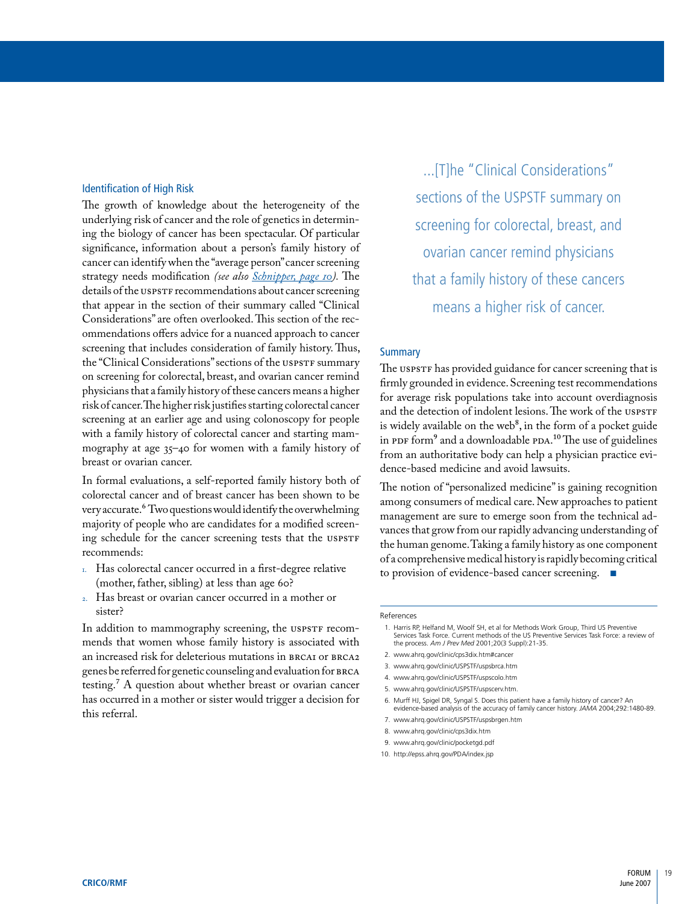#### Identification of High Risk

The growth of knowledge about the heterogeneity of the underlying risk of cancer and the role of genetics in determining the biology of cancer has been spectacular. Of particular significance, information about a person's family history of cancer can identify when the "average person" cancer screening strategy needs modification *(see also [Schnipper, page 10\)](#page-11-0).* The details of the USPSTF recommendations about cancer screening that appear in the section of their summary called "Clinical Considerations" are often overlooked. This section of the recommendations offers advice for a nuanced approach to cancer screening that includes consideration of family history. Thus, the "Clinical Considerations" sections of the USPSTF summary on screening for colorectal, breast, and ovarian cancer remind physicians that a family history of these cancers means a higher risk of cancer. The higher risk justifies starting colorectal cancer screening at an earlier age and using colonoscopy for people with a family history of colorectal cancer and starting mammography at age 35–40 for women with a family history of breast or ovarian cancer.

In formal evaluations, a self-reported family history both of colorectal cancer and of breast cancer has been shown to be very accurate.6 Two questions would identify the overwhelming majority of people who are candidates for a modified screening schedule for the cancer screening tests that the USPSTF recommends:

- 1. Has colorectal cancer occurred in a first-degree relative (mother, father, sibling) at less than age 60?
- 2. Has breast or ovarian cancer occurred in a mother or sister?

In addition to mammography screening, the USPSTF recommends that women whose family history is associated with an increased risk for deleterious mutations in BRCA1 or BRCA2 genes be referred for genetic counseling and evaluation for BRCA testing.7 A question about whether breast or ovarian cancer has occurred in a mother or sister would trigger a decision for this referral.

...[T]he "Clinical Considerations" sections of the USPSTF summary on screening for colorectal, breast, and ovarian cancer remind physicians that a family history of these cancers means a higher risk of cancer.

# **Summary**

The USPSTF has provided guidance for cancer screening that is firmly grounded in evidence. Screening test recommendations for average risk populations take into account overdiagnosis and the detection of indolent lesions. The work of the USPSTF is widely available on the web<sup>8</sup>, in the form of a pocket guide in PDF form<sup>9</sup> and a downloadable PDA.<sup>10</sup> The use of guidelines from an authoritative body can help a physician practice evidence-based medicine and avoid lawsuits.

The notion of "personalized medicine" is gaining recognition among consumers of medical care. New approaches to patient management are sure to emerge soon from the technical advances that grow from our rapidly advancing understanding of the human genome. Taking a family history as one component of a comprehensive medical history is rapidly becoming critical to provision of evidence-based cancer screening.

#### References

- 1. Harris RP, Helfand M, Woolf SH, et al for Methods Work Group, Third US Preventive Services Task Force. Current methods of the US Preventive Services Task Force: a review of the process. *Am J Prev Med* 2001;20(3 Suppl):21-35.
- 2. www.ahrq.gov/clinic/cps3dix.htm#cancer
- 3. www.ahrq.gov/clinic/USPSTF/uspsbrca.htm
- 4. www.ahrq.gov/clinic/USPSTF/uspscolo.htm
- 5. www.ahrq.gov/clinic/USPSTF/uspscerv.htm.
- 6. Murff HJ, Spigel DR, Syngal S. Does this patient have a family history of cancer? An evidence-based analysis of the accuracy of family cancer history. *JAMA* 2004;292:1480-89.
- 7. www.ahrq.gov/clinic/USPSTF/uspsbrgen.htm
- 8. www.ahrq.gov/clinic/cps3dix.htm
- 9. www.ahrq.gov/clinic/pocketgd.pdf
- 10. http://epss.ahrq.gov/PDA/index.jsp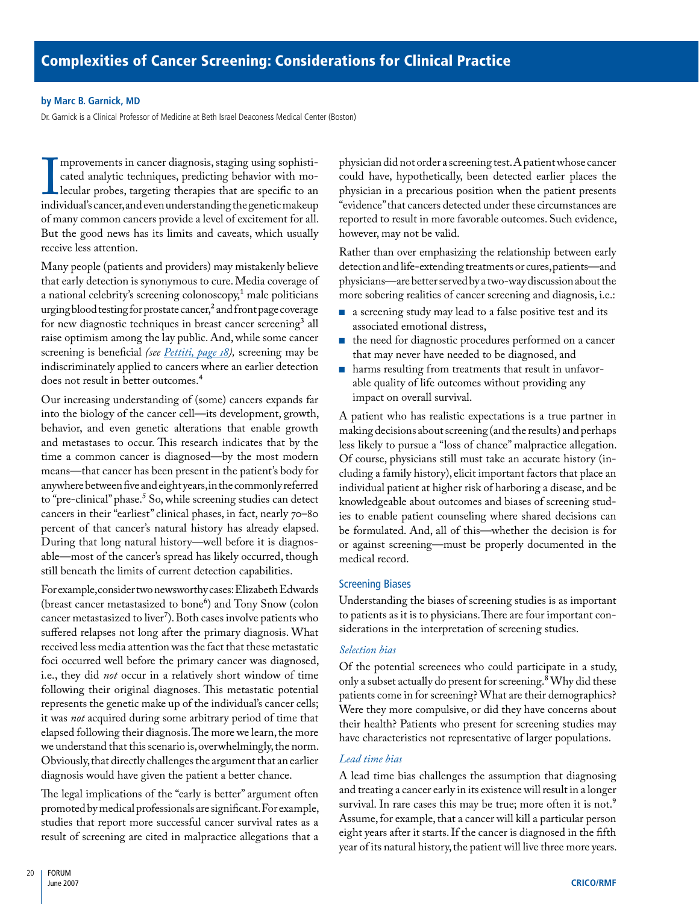### <span id="page-21-0"></span>**by Marc B. Garnick, MD**

Dr. Garnick is a Clinical Professor of Medicine at Beth Israel Deaconess Medical Center (Boston)

 $\prod_{indir}$ mprovements in cancer diagnosis, staging using sophisticated analytic techniques, predicting behavior with molecular probes, targeting therapies that are specific to an individual's cancer, and even understanding the genetic makeup of many common cancers provide a level of excitement for all. But the good news has its limits and caveats, which usually receive less attention.

Many people (patients and providers) may mistakenly believe that early detection is synonymous to cure. Media coverage of a national celebrity's screening colonoscopy,<sup>1</sup> male politicians urging blood testing for prostate cancer,<sup>2</sup> and front page coverage for new diagnostic techniques in breast cancer screening<sup>3</sup> all raise optimism among the lay public. And, while some cancer screening is beneficial *(see [Pettiti, page 18](#page-19-0)),* screening may be indiscriminately applied to cancers where an earlier detection does not result in better outcomes.4

Our increasing understanding of (some) cancers expands far into the biology of the cancer cell—its development, growth, behavior, and even genetic alterations that enable growth and metastases to occur. This research indicates that by the time a common cancer is diagnosed—by the most modern means—that cancer has been present in the patient's body for anywhere between five and eight years, in the commonly referred to "pre-clinical" phase.<sup>5</sup> So, while screening studies can detect cancers in their "earliest" clinical phases, in fact, nearly 70–80 percent of that cancer's natural history has already elapsed. During that long natural history—well before it is diagnosable—most of the cancer's spread has likely occurred, though still beneath the limits of current detection capabilities.

For example, consider two newsworthy cases: Elizabeth Edwards (breast cancer metastasized to bone<sup>6</sup>) and Tony Snow (colon cancer metastasized to liver<sup>7</sup>). Both cases involve patients who suffered relapses not long after the primary diagnosis. What received less media attention was the fact that these metastatic foci occurred well before the primary cancer was diagnosed, i.e., they did *not* occur in a relatively short window of time following their original diagnoses. This metastatic potential represents the genetic make up of the individual's cancer cells; it was *not* acquired during some arbitrary period of time that elapsed following their diagnosis. The more we learn, the more we understand that this scenario is, overwhelmingly, the norm. Obviously, that directly challenges the argument that an earlier diagnosis would have given the patient a better chance.

The legal implications of the "early is better" argument often promoted by medical professionals are significant. For example, studies that report more successful cancer survival rates as a result of screening are cited in malpractice allegations that a

physician did not order a screening test. A patient whose cancer could have, hypothetically, been detected earlier places the physician in a precarious position when the patient presents "evidence" that cancers detected under these circumstances are reported to result in more favorable outcomes. Such evidence, however, may not be valid.

Rather than over emphasizing the relationship between early detection and life-extending treatments or cures, patients—and physicians—are better served by a two-way discussion about the more sobering realities of cancer screening and diagnosis, i.e.:

- a screening study may lead to a false positive test and its associated emotional distress,
- the need for diagnostic procedures performed on a cancer that may never have needed to be diagnosed, and
- harms resulting from treatments that result in unfavorable quality of life outcomes without providing any impact on overall survival.

A patient who has realistic expectations is a true partner in making decisions about screening (and the results) and perhaps less likely to pursue a "loss of chance" malpractice allegation. Of course, physicians still must take an accurate history (including a family history), elicit important factors that place an individual patient at higher risk of harboring a disease, and be knowledgeable about outcomes and biases of screening studies to enable patient counseling where shared decisions can be formulated. And, all of this—whether the decision is for or against screening—must be properly documented in the medical record.

# Screening Biases

Understanding the biases of screening studies is as important to patients as it is to physicians. There are four important considerations in the interpretation of screening studies.

# *Selection bias*

Of the potential screenees who could participate in a study, only a subset actually do present for screening.8 Why did these patients come in for screening? What are their demographics? Were they more compulsive, or did they have concerns about their health? Patients who present for screening studies may have characteristics not representative of larger populations.

# *Lead time bias*

A lead time bias challenges the assumption that diagnosing and treating a cancer early in its existence will result in a longer survival. In rare cases this may be true; more often it is not.<sup>9</sup> Assume, for example, that a cancer will kill a particular person eight years after it starts. If the cancer is diagnosed in the fifth year of its natural history, the patient will live three more years.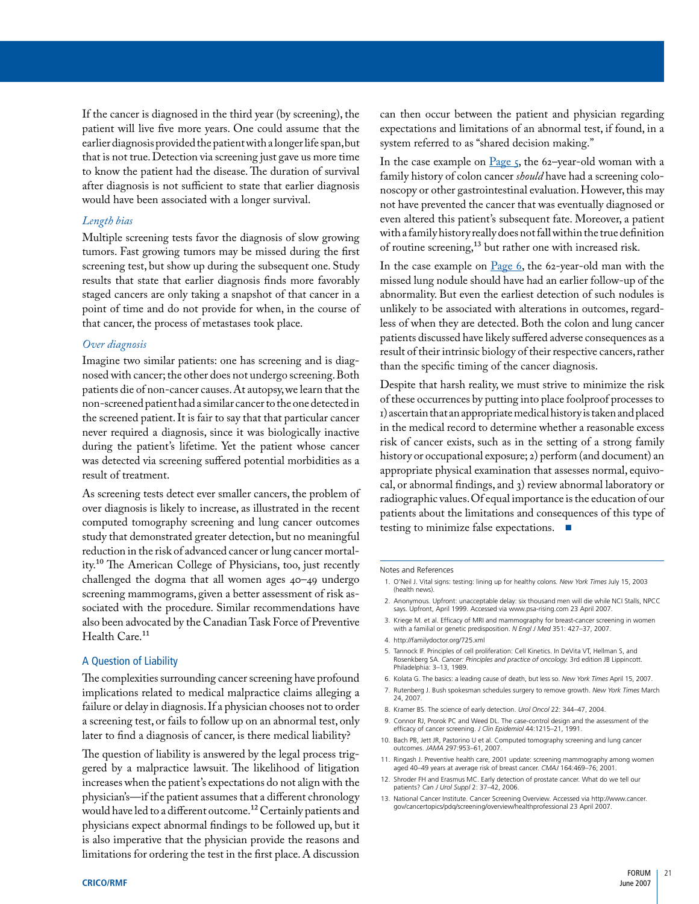If the cancer is diagnosed in the third year (by screening), the patient will live five more years. One could assume that the earlier diagnosis provided the patient with a longer life span, but that is not true. Detection via screening just gave us more time to know the patient had the disease. The duration of survival after diagnosis is not sufficient to state that earlier diagnosis would have been associated with a longer survival.

#### *Length bias*

Multiple screening tests favor the diagnosis of slow growing tumors. Fast growing tumors may be missed during the first screening test, but show up during the subsequent one. Study results that state that earlier diagnosis finds more favorably staged cancers are only taking a snapshot of that cancer in a point of time and do not provide for when, in the course of that cancer, the process of metastases took place.

#### *Over diagnosis*

Imagine two similar patients: one has screening and is diagnosed with cancer; the other does not undergo screening. Both patients die of non-cancer causes. At autopsy, we learn that the non-screened patient had a similar cancer to the one detected in the screened patient. It is fair to say that that particular cancer never required a diagnosis, since it was biologically inactive during the patient's lifetime. Yet the patient whose cancer was detected via screening suffered potential morbidities as a result of treatment.

As screening tests detect ever smaller cancers, the problem of over diagnosis is likely to increase, as illustrated in the recent computed tomography screening and lung cancer outcomes study that demonstrated greater detection, but no meaningful reduction in the risk of advanced cancer or lung cancer mortality.10 The American College of Physicians, too, just recently challenged the dogma that all women ages 40–49 undergo screening mammograms, given a better assessment of risk associated with the procedure. Similar recommendations have also been advocated by the Canadian Task Force of Preventive Health Care.<sup>11</sup>

#### A Question of Liability

The complexities surrounding cancer screening have profound implications related to medical malpractice claims alleging a failure or delay in diagnosis. If a physician chooses not to order a screening test, or fails to follow up on an abnormal test, only later to find a diagnosis of cancer, is there medical liability?

The question of liability is answered by the legal process triggered by a malpractice lawsuit. The likelihood of litigation increases when the patient's expectations do not align with the physician's—if the patient assumes that a different chronology would have led to a different outcome.12 Certainly patients and physicians expect abnormal findings to be followed up, but it is also imperative that the physician provide the reasons and limitations for ordering the test in the first place. A discussion

can then occur between the patient and physician regarding expectations and limitations of an abnormal test, if found, in a system referred to as "shared decision making."

In the case example on Page  $\zeta$ , the 62-year-old woman with a family history of colon cancer *should* have had a screening colonoscopy or other gastrointestinal evaluation. However, this may not have prevented the cancer that was eventually diagnosed or even altered this patient's subsequent fate. Moreover, a patient with a family history really does not fall within the true definition of routine screening,13 but rather one with increased risk.

In the case example on [Page 6](#page-7-0), the 62-year-old man with the missed lung nodule should have had an earlier follow-up of the abnormality. But even the earliest detection of such nodules is unlikely to be associated with alterations in outcomes, regardless of when they are detected. Both the colon and lung cancer patients discussed have likely suffered adverse consequences as a result of their intrinsic biology of their respective cancers, rather than the specific timing of the cancer diagnosis.

Despite that harsh reality, we must strive to minimize the risk of these occurrences by putting into place foolproof processes to 1) ascertain that an appropriate medical history is taken and placed in the medical record to determine whether a reasonable excess risk of cancer exists, such as in the setting of a strong family history or occupational exposure; 2) perform (and document) an appropriate physical examination that assesses normal, equivocal, or abnormal findings, and 3) review abnormal laboratory or radiographic values. Of equal importance is the education of our patients about the limitations and consequences of this type of testing to minimize false expectations. ■

#### Notes and References

- 1. O'Neil J. Vital signs: testing: lining up for healthy colons. *New York Times* July 15, 2003 (health news).
- 2. Anonymous. Upfront: unacceptable delay: six thousand men will die while NCI Stalls, NPCC says. Upfront, April 1999. Accessed via www.psa-rising.com 23 April 2007.
- 3. Kriege M. et al. Efficacy of MRI and mammography for breast-cancer screening in women with a familial or genetic predisposition. *N Engl J Med* 351: 427–37, 2007.
- 4. http://familydoctor.org/725.xml
- 5. Tannock IF. Principles of cell proliferation: Cell Kinetics. In DeVita VT, Hellman S, and Rosenkberg SA. *Cancer: Principles and practice of oncology.* 3rd edition JB Lippincott. Philadelphia: 3–13, 1989.
- 6. Kolata G. The basics: a leading cause of death, but less so. *New York Times* April 15, 2007.
- 7. Rutenberg J. Bush spokesman schedules surgery to remove growth. *New York Times* March 24, 2007.
- 8. Kramer BS. The science of early detection. *Urol Oncol* 22: 344–47, 2004.
- 9. Connor RJ, Prorok PC and Weed DL. The case-control design and the assessment of the efficacy of cancer screening. *J Clin Epidemiol* 44:1215–21, 1991.
- 10. Bach PB, Jett JR, Pastorino U et al. Computed tomography screening and lung cancer outcomes. *JAMA* 297:953–61, 2007.
- 11. Ringash J. Preventive health care, 2001 update: screening mammography among women aged 40–49 years at average risk of breast cancer. *CMAJ* 164:469–76; 2001.
- 12. Shroder FH and Erasmus MC. Early detection of prostate cancer. What do we tell our patients? *Can J Urol Suppl* 2: 37–42, 2006.
- 13. National Cancer Institute. Cancer Screening Overview. Accessed via http://www.cancer. gov/cancertopics/pdq/screening/overview/healthprofessional 23 April 2007.